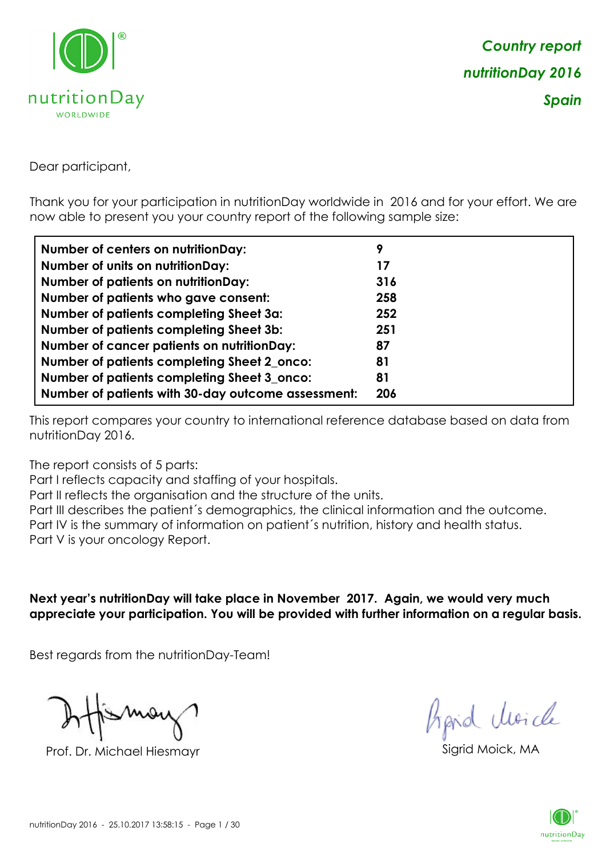

Dear participant,

Thank you for your participation in nutritionDay worldwide in 2016 and for your effort. We are now able to present you your country report of the following sample size:

| <b>Number of centers on nutritionDay:</b>          | 9   |
|----------------------------------------------------|-----|
| <b>Number of units on nutritionDay:</b>            | 17  |
| <b>Number of patients on nutritionDay:</b>         | 316 |
| Number of patients who gave consent:               | 258 |
| <b>Number of patients completing Sheet 3a:</b>     | 252 |
| <b>Number of patients completing Sheet 3b:</b>     | 251 |
| <b>Number of cancer patients on nutritionDay:</b>  | 87  |
| Number of patients completing Sheet 2_onco:        | 81  |
| Number of patients completing Sheet 3_onco:        | 81  |
| Number of patients with 30-day outcome assessment: | 206 |

This report compares your country to international reference database based on data from nutritionDay 2016.

The report consists of 5 parts:

Part I reflects capacity and staffing of your hospitals.

Part II reflects the organisation and the structure of the units.

Part III describes the patient´s demographics, the clinical information and the outcome.

Part IV is the summary of information on patient´s nutrition, history and health status.

Part V is your oncology Report.

**Next year's nutritionDay will take place in November 2017. Again, we would very much appreciate your participation. You will be provided with further information on a regular basis.**

Best regards from the nutritionDay-Team!

Prof. Dr. Michael Hiesmayr Sigrid Moick, MA

*Prpid cluricle* 

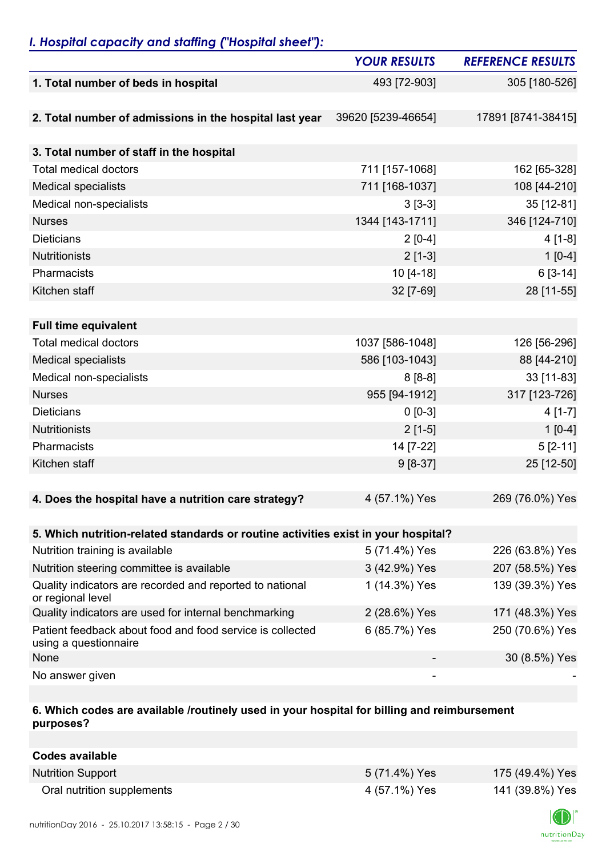## *I. Hospital capacity and staffing ("Hospital sheet"):*

|                                                                                    | <b>YOUR RESULTS</b> | <b>REFERENCE RESULTS</b> |
|------------------------------------------------------------------------------------|---------------------|--------------------------|
| 1. Total number of beds in hospital                                                | 493 [72-903]        | 305 [180-526]            |
|                                                                                    |                     |                          |
| 2. Total number of admissions in the hospital last year                            | 39620 [5239-46654]  | 17891 [8741-38415]       |
|                                                                                    |                     |                          |
| 3. Total number of staff in the hospital                                           |                     |                          |
| <b>Total medical doctors</b>                                                       | 711 [157-1068]      | 162 [65-328]             |
| <b>Medical specialists</b>                                                         | 711 [168-1037]      | 108 [44-210]             |
| Medical non-specialists                                                            | $3[3-3]$            | 35 [12-81]               |
| <b>Nurses</b>                                                                      | 1344 [143-1711]     | 346 [124-710]            |
| <b>Dieticians</b>                                                                  | $2[0-4]$            | $4[1-8]$                 |
| Nutritionists                                                                      | $2[1-3]$            | $1[0-4]$                 |
| Pharmacists                                                                        | $10 [4 - 18]$       | $6[3-14]$                |
| Kitchen staff                                                                      | 32 [7-69]           | 28 [11-55]               |
|                                                                                    |                     |                          |
| <b>Full time equivalent</b>                                                        |                     |                          |
| <b>Total medical doctors</b>                                                       | 1037 [586-1048]     | 126 [56-296]             |
| <b>Medical specialists</b>                                                         | 586 [103-1043]      | 88 [44-210]              |
| Medical non-specialists                                                            | $8[8-8]$            | 33 [11-83]               |
| <b>Nurses</b>                                                                      | 955 [94-1912]       | 317 [123-726]            |
| <b>Dieticians</b>                                                                  | $0 [0-3]$           | $4[1-7]$                 |
| Nutritionists                                                                      | $2[1-5]$            | $1[0-4]$                 |
| Pharmacists                                                                        | 14 [7-22]           | $5[2-11]$                |
| Kitchen staff                                                                      | $9[8-37]$           | 25 [12-50]               |
|                                                                                    |                     |                          |
| 4. Does the hospital have a nutrition care strategy?                               | 4 (57.1%) Yes       | 269 (76.0%) Yes          |
|                                                                                    |                     |                          |
| 5. Which nutrition-related standards or routine activities exist in your hospital? |                     |                          |
| Nutrition training is available                                                    | 5 (71.4%) Yes       | 226 (63.8%) Yes          |
| Nutrition steering committee is available                                          | 3 (42.9%) Yes       | 207 (58.5%) Yes          |
| Quality indicators are recorded and reported to national<br>or regional level      | 1 (14.3%) Yes       | 139 (39.3%) Yes          |
| Quality indicators are used for internal benchmarking                              | 2 (28.6%) Yes       | 171 (48.3%) Yes          |
| Patient feedback about food and food service is collected<br>using a questionnaire | 6 (85.7%) Yes       | 250 (70.6%) Yes          |
| None                                                                               |                     | 30 (8.5%) Yes            |
| No answer given                                                                    |                     |                          |

### **6. Which codes are available /routinely used in your hospital for billing and reimbursement purposes?**

| Codes available            |               |                 |
|----------------------------|---------------|-----------------|
| <b>Nutrition Support</b>   | 5 (71.4%) Yes | 175 (49.4%) Yes |
| Oral nutrition supplements | 4 (57.1%) Yes | 141 (39.8%) Yes |

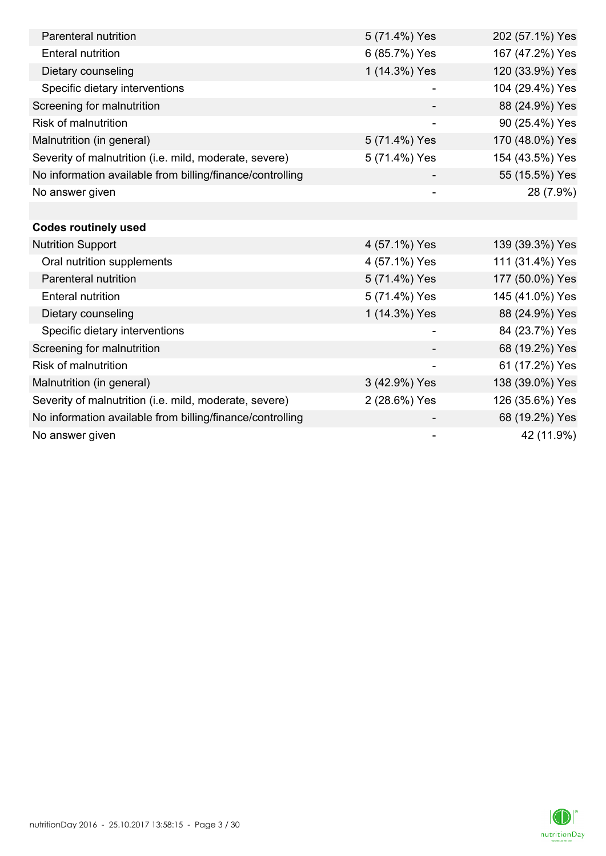| Parenteral nutrition                                      | 5 (71.4%) Yes            | 202 (57.1%) Yes |
|-----------------------------------------------------------|--------------------------|-----------------|
| <b>Enteral nutrition</b>                                  | 6 (85.7%) Yes            | 167 (47.2%) Yes |
| Dietary counseling                                        | 1 (14.3%) Yes            | 120 (33.9%) Yes |
| Specific dietary interventions                            |                          | 104 (29.4%) Yes |
| Screening for malnutrition                                |                          | 88 (24.9%) Yes  |
| <b>Risk of malnutrition</b>                               |                          | 90 (25.4%) Yes  |
| Malnutrition (in general)                                 | 5 (71.4%) Yes            | 170 (48.0%) Yes |
| Severity of malnutrition (i.e. mild, moderate, severe)    | 5 (71.4%) Yes            | 154 (43.5%) Yes |
| No information available from billing/finance/controlling |                          | 55 (15.5%) Yes  |
| No answer given                                           |                          | 28 (7.9%)       |
|                                                           |                          |                 |
| <b>Codes routinely used</b>                               |                          |                 |
| <b>Nutrition Support</b>                                  | 4 (57.1%) Yes            | 139 (39.3%) Yes |
| Oral nutrition supplements                                | 4 (57.1%) Yes            | 111 (31.4%) Yes |
| Parenteral nutrition                                      | 5 (71.4%) Yes            | 177 (50.0%) Yes |
| <b>Enteral nutrition</b>                                  | 5 (71.4%) Yes            | 145 (41.0%) Yes |
| Dietary counseling                                        | 1 (14.3%) Yes            | 88 (24.9%) Yes  |
| Specific dietary interventions                            |                          | 84 (23.7%) Yes  |
| Screening for malnutrition                                |                          | 68 (19.2%) Yes  |
| <b>Risk of malnutrition</b>                               |                          | 61 (17.2%) Yes  |
| Malnutrition (in general)                                 | 3 (42.9%) Yes            | 138 (39.0%) Yes |
| Severity of malnutrition (i.e. mild, moderate, severe)    | 2 (28.6%) Yes            | 126 (35.6%) Yes |
| No information available from billing/finance/controlling |                          | 68 (19.2%) Yes  |
| No answer given                                           | $\overline{\phantom{a}}$ | 42 (11.9%)      |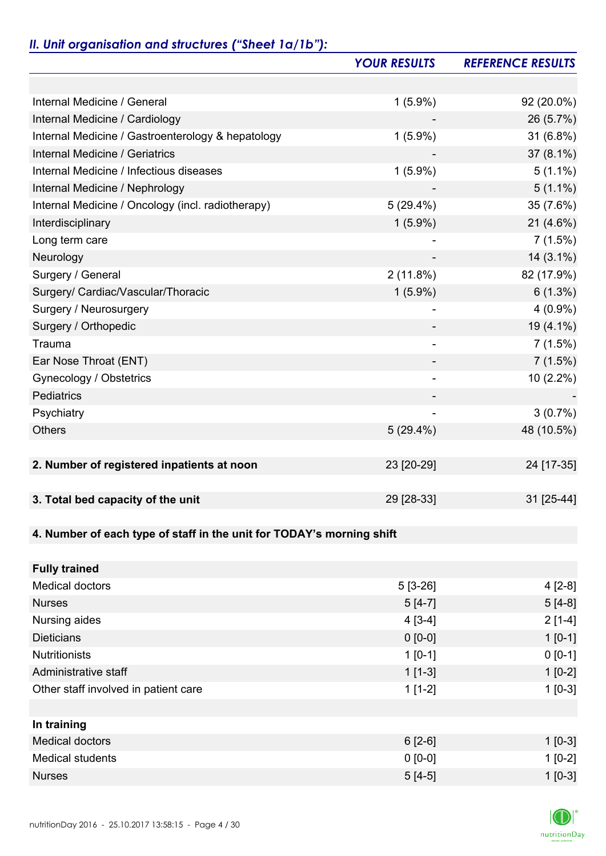# *II. Unit organisation and structures ("Sheet 1a/1b"):*

|                                                                       | <b>YOUR RESULTS</b> | <b>REFERENCE RESULTS</b> |
|-----------------------------------------------------------------------|---------------------|--------------------------|
|                                                                       |                     |                          |
| Internal Medicine / General                                           | $1(5.9\%)$          | 92 (20.0%)               |
| Internal Medicine / Cardiology                                        |                     | 26 (5.7%)                |
| Internal Medicine / Gastroenterology & hepatology                     | $1(5.9\%)$          | 31 (6.8%)                |
| Internal Medicine / Geriatrics                                        |                     | $37(8.1\%)$              |
| Internal Medicine / Infectious diseases                               | $1(5.9\%)$          | $5(1.1\%)$               |
| Internal Medicine / Nephrology                                        |                     | $5(1.1\%)$               |
| Internal Medicine / Oncology (incl. radiotherapy)                     | $5(29.4\%)$         | 35 (7.6%)                |
| Interdisciplinary                                                     | $1(5.9\%)$          | 21 (4.6%)                |
| Long term care                                                        |                     | 7(1.5%)                  |
| Neurology                                                             |                     | $14(3.1\%)$              |
| Surgery / General                                                     | 2(11.8%)            | 82 (17.9%)               |
| Surgery/ Cardiac/Vascular/Thoracic                                    | $1(5.9\%)$          | 6(1.3%)                  |
| Surgery / Neurosurgery                                                |                     | $4(0.9\%)$               |
| Surgery / Orthopedic                                                  |                     | 19 (4.1%)                |
| Trauma                                                                |                     | 7(1.5%)                  |
| Ear Nose Throat (ENT)                                                 |                     | $7(1.5\%)$               |
| Gynecology / Obstetrics                                               | ۰                   | 10 (2.2%)                |
| Pediatrics                                                            |                     |                          |
| Psychiatry                                                            |                     | $3(0.7\%)$               |
| <b>Others</b>                                                         | $5(29.4\%)$         | 48 (10.5%)               |
|                                                                       |                     |                          |
| 2. Number of registered inpatients at noon                            | 23 [20-29]          | 24 [17-35]               |
|                                                                       |                     |                          |
| 3. Total bed capacity of the unit                                     | 29 [28-33]          | 31 [25-44]               |
|                                                                       |                     |                          |
| 4. Number of each type of staff in the unit for TODAY's morning shift |                     |                          |
|                                                                       |                     |                          |
| <b>Fully trained</b>                                                  |                     |                          |
| <b>Medical doctors</b>                                                | $5[3-26]$           | $4[2-8]$                 |
| <b>Nurses</b>                                                         | $5[4-7]$            | $5[4-8]$                 |
| Nursing aides                                                         | $4[3-4]$            | $2[1-4]$                 |
| <b>Dieticians</b>                                                     | $0 [0-0]$           | $1 [0-1]$                |
| <b>Nutritionists</b>                                                  | $1[0-1]$            | $0 [0-1]$                |
| Administrative staff                                                  | $1[1-3]$            | $1[0-2]$                 |
| Other staff involved in patient care                                  | $1[1-2]$            | $1[0-3]$                 |
|                                                                       |                     |                          |
| In training                                                           |                     |                          |
| <b>Medical doctors</b>                                                | $6[2-6]$            | $1 [0-3]$                |
| <b>Medical students</b>                                               | $0 [0-0]$           | $1[0-2]$                 |
| <b>Nurses</b>                                                         | $5[4-5]$            | $1[0-3]$                 |

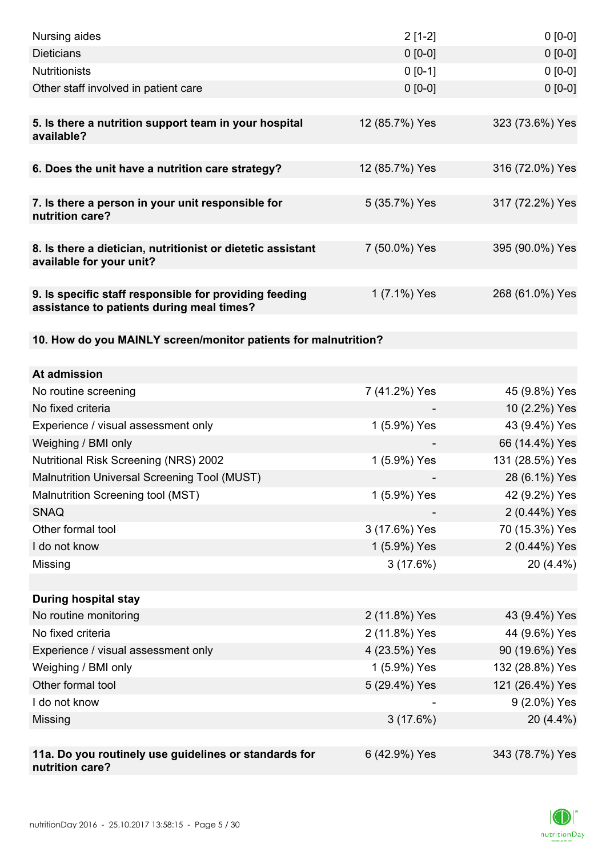| Nursing aides                                                                                       | $2[1-2]$       | $0[0-0]$        |
|-----------------------------------------------------------------------------------------------------|----------------|-----------------|
| <b>Dieticians</b>                                                                                   | $0 [0-0]$      | $0 [0-0]$       |
| <b>Nutritionists</b>                                                                                | $0 [0-1]$      | $0 [0-0]$       |
| Other staff involved in patient care                                                                | $0 [0-0]$      | $0 [0-0]$       |
|                                                                                                     |                |                 |
| 5. Is there a nutrition support team in your hospital<br>available?                                 | 12 (85.7%) Yes | 323 (73.6%) Yes |
| 6. Does the unit have a nutrition care strategy?                                                    | 12 (85.7%) Yes | 316 (72.0%) Yes |
| 7. Is there a person in your unit responsible for<br>nutrition care?                                | 5 (35.7%) Yes  | 317 (72.2%) Yes |
| 8. Is there a dietician, nutritionist or dietetic assistant<br>available for your unit?             | 7 (50.0%) Yes  | 395 (90.0%) Yes |
| 9. Is specific staff responsible for providing feeding<br>assistance to patients during meal times? | 1 (7.1%) Yes   | 268 (61.0%) Yes |
| 10. How do you MAINLY screen/monitor patients for malnutrition?                                     |                |                 |
| At admission                                                                                        |                |                 |
| No routine screening                                                                                | 7 (41.2%) Yes  | 45 (9.8%) Yes   |
| No fixed criteria                                                                                   |                | 10 (2.2%) Yes   |
| Experience / visual assessment only                                                                 | 1 (5.9%) Yes   | 43 (9.4%) Yes   |
| Weighing / BMI only                                                                                 |                | 66 (14.4%) Yes  |
| <b>Nutritional Risk Screening (NRS) 2002</b>                                                        | 1 (5.9%) Yes   | 131 (28.5%) Yes |
| Malnutrition Universal Screening Tool (MUST)                                                        |                | 28 (6.1%) Yes   |
| Malnutrition Screening tool (MST)                                                                   | 1 (5.9%) Yes   | 42 (9.2%) Yes   |
| <b>SNAQ</b>                                                                                         |                | 2 (0.44%) Yes   |
| Other formal tool                                                                                   | 3 (17.6%) Yes  | 70 (15.3%) Yes  |
| I do not know                                                                                       | 1 (5.9%) Yes   | 2 (0.44%) Yes   |
| Missing                                                                                             | 3(17.6%)       | 20 (4.4%)       |
|                                                                                                     |                |                 |
| <b>During hospital stay</b>                                                                         |                |                 |
| No routine monitoring                                                                               | 2 (11.8%) Yes  | 43 (9.4%) Yes   |
| No fixed criteria                                                                                   | 2 (11.8%) Yes  | 44 (9.6%) Yes   |
| Experience / visual assessment only                                                                 | 4 (23.5%) Yes  | 90 (19.6%) Yes  |
| Weighing / BMI only                                                                                 | 1 (5.9%) Yes   | 132 (28.8%) Yes |
| Other formal tool                                                                                   | 5 (29.4%) Yes  | 121 (26.4%) Yes |
| I do not know                                                                                       |                | 9 (2.0%) Yes    |
| Missing                                                                                             | 3(17.6%)       | 20 (4.4%)       |
|                                                                                                     |                |                 |
| 11a. Do you routinely use guidelines or standards for<br>nutrition care?                            | 6 (42.9%) Yes  | 343 (78.7%) Yes |

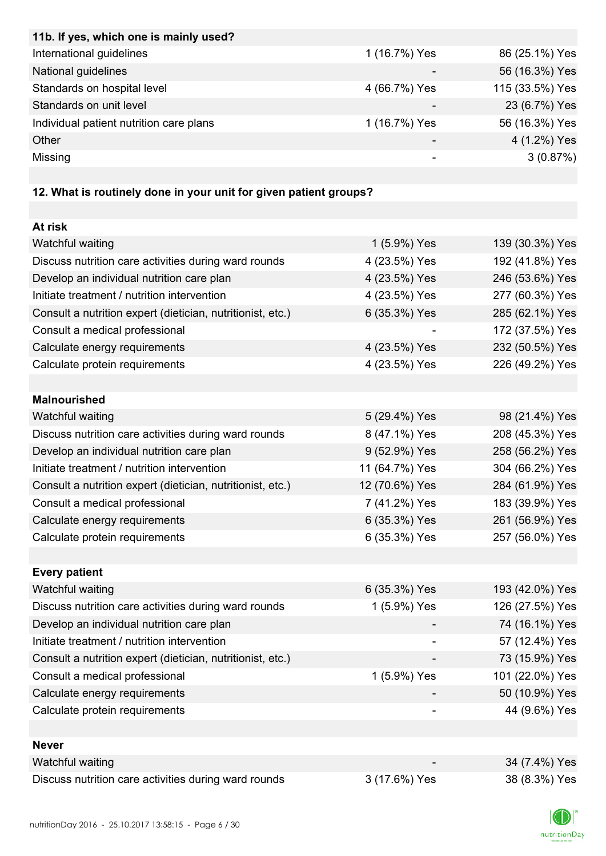| 11b. If yes, which one is mainly used?                            |               |                 |
|-------------------------------------------------------------------|---------------|-----------------|
| International guidelines                                          | 1 (16.7%) Yes | 86 (25.1%) Yes  |
| National guidelines                                               |               | 56 (16.3%) Yes  |
| Standards on hospital level                                       | 4 (66.7%) Yes | 115 (33.5%) Yes |
| Standards on unit level                                           |               | 23 (6.7%) Yes   |
| Individual patient nutrition care plans                           | 1 (16.7%) Yes | 56 (16.3%) Yes  |
| Other                                                             |               | 4 (1.2%) Yes    |
| Missing                                                           |               | 3(0.87%)        |
|                                                                   |               |                 |
| 12. What is routinely done in your unit for given patient groups? |               |                 |
|                                                                   |               |                 |
| At risk                                                           |               |                 |
| Watchful waiting                                                  | 1 (5.9%) Yes  | 139 (30.3%) Yes |
| Discuss nutrition care activities during ward rounds              | 4 (23.5%) Yes | 192 (41.8%) Yes |
| Develop an individual nutrition care plan                         | 4 (23.5%) Yes | 246 (53.6%) Yes |
| Initiate treatment / nutrition intervention                       | 4 (23.5%) Yes | 277 (60.3%) Yes |
| Consult a nutrition expert (dietician, nutritionist, etc.)        | 6 (35.3%) Yes | 285 (62.1%) Yes |
| Consult a medical professional                                    |               | 172 (37.5%) Yes |
| Calculate energy requirements                                     | 4 (23.5%) Yes | 232 (50.5%) Yes |
| Calculate protein requirements                                    | 4 (23.5%) Yes | 226 (49.2%) Yes |
|                                                                   |               |                 |
| <b>Malnourished</b>                                               |               |                 |
|                                                                   |               | 0.010111111     |

| Watchful waiting                                           | 5 (29.4%) Yes  | 98 (21.4%) Yes  |
|------------------------------------------------------------|----------------|-----------------|
| Discuss nutrition care activities during ward rounds       | 8 (47.1%) Yes  | 208 (45.3%) Yes |
| Develop an individual nutrition care plan                  | 9 (52.9%) Yes  | 258 (56.2%) Yes |
| Initiate treatment / nutrition intervention                | 11 (64.7%) Yes | 304 (66.2%) Yes |
| Consult a nutrition expert (dietician, nutritionist, etc.) | 12 (70.6%) Yes | 284 (61.9%) Yes |
| Consult a medical professional                             | 7 (41.2%) Yes  | 183 (39.9%) Yes |
| Calculate energy requirements                              | 6 (35.3%) Yes  | 261 (56.9%) Yes |
| Calculate protein requirements                             | 6 (35.3%) Yes  | 257 (56.0%) Yes |

| <b>Every patient</b>                                       |               |                 |
|------------------------------------------------------------|---------------|-----------------|
| Watchful waiting                                           | 6 (35.3%) Yes | 193 (42.0%) Yes |
| Discuss nutrition care activities during ward rounds       | 1 (5.9%) Yes  | 126 (27.5%) Yes |
| Develop an individual nutrition care plan                  |               | 74 (16.1%) Yes  |
| Initiate treatment / nutrition intervention                | ۰             | 57 (12.4%) Yes  |
| Consult a nutrition expert (dietician, nutritionist, etc.) |               | 73 (15.9%) Yes  |
| Consult a medical professional                             | 1 (5.9%) Yes  | 101 (22.0%) Yes |
| Calculate energy requirements                              |               | 50 (10.9%) Yes  |
| Calculate protein requirements                             |               | 44 (9.6%) Yes   |
|                                                            |               |                 |

| Never                                                |                          |               |
|------------------------------------------------------|--------------------------|---------------|
| Watchful waiting                                     | $\overline{\phantom{0}}$ | 34 (7.4%) Yes |
| Discuss nutrition care activities during ward rounds | 3 (17.6%) Yes            | 38 (8.3%) Yes |

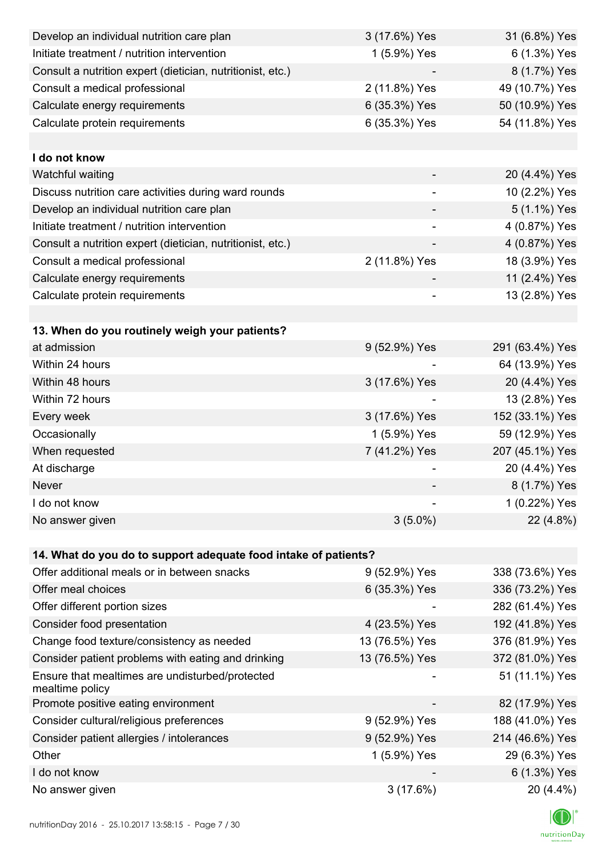| Develop an individual nutrition care plan                          | 3 (17.6%) Yes            | 31 (6.8%) Yes   |
|--------------------------------------------------------------------|--------------------------|-----------------|
| Initiate treatment / nutrition intervention                        | 1 (5.9%) Yes             | 6 (1.3%) Yes    |
| Consult a nutrition expert (dietician, nutritionist, etc.)         |                          | 8 (1.7%) Yes    |
| Consult a medical professional                                     | 2 (11.8%) Yes            | 49 (10.7%) Yes  |
| Calculate energy requirements                                      | 6 (35.3%) Yes            | 50 (10.9%) Yes  |
| Calculate protein requirements                                     | 6 (35.3%) Yes            | 54 (11.8%) Yes  |
|                                                                    |                          |                 |
| I do not know                                                      |                          |                 |
| Watchful waiting                                                   |                          | 20 (4.4%) Yes   |
| Discuss nutrition care activities during ward rounds               | $\overline{\phantom{a}}$ | 10 (2.2%) Yes   |
| Develop an individual nutrition care plan                          |                          | 5 (1.1%) Yes    |
| Initiate treatment / nutrition intervention                        | -                        | 4 (0.87%) Yes   |
| Consult a nutrition expert (dietician, nutritionist, etc.)         |                          | 4 (0.87%) Yes   |
| Consult a medical professional                                     | 2 (11.8%) Yes            | 18 (3.9%) Yes   |
| Calculate energy requirements                                      |                          | 11 (2.4%) Yes   |
| Calculate protein requirements                                     | $\overline{\phantom{0}}$ | 13 (2.8%) Yes   |
|                                                                    |                          |                 |
| 13. When do you routinely weigh your patients?                     |                          |                 |
| at admission                                                       | 9 (52.9%) Yes            | 291 (63.4%) Yes |
| Within 24 hours                                                    |                          | 64 (13.9%) Yes  |
| Within 48 hours                                                    | 3 (17.6%) Yes            | 20 (4.4%) Yes   |
| Within 72 hours                                                    |                          | 13 (2.8%) Yes   |
| Every week                                                         | 3 (17.6%) Yes            | 152 (33.1%) Yes |
| Occasionally                                                       | 1 (5.9%) Yes             | 59 (12.9%) Yes  |
| When requested                                                     | 7 (41.2%) Yes            | 207 (45.1%) Yes |
| At discharge                                                       |                          | 20 (4.4%) Yes   |
| Never                                                              |                          | 8 (1.7%) Yes    |
| I do not know                                                      |                          | 1 (0.22%) Yes   |
| No answer given                                                    | $3(5.0\%)$               | 22 (4.8%)       |
|                                                                    |                          |                 |
| 14. What do you do to support adequate food intake of patients?    |                          |                 |
| Offer additional meals or in between snacks                        | 9 (52.9%) Yes            | 338 (73.6%) Yes |
| Offer meal choices                                                 | 6 (35.3%) Yes            | 336 (73.2%) Yes |
| Offer different portion sizes                                      |                          | 282 (61.4%) Yes |
| Consider food presentation                                         | 4 (23.5%) Yes            | 192 (41.8%) Yes |
| Change food texture/consistency as needed                          | 13 (76.5%) Yes           | 376 (81.9%) Yes |
| Consider patient problems with eating and drinking                 | 13 (76.5%) Yes           | 372 (81.0%) Yes |
| Ensure that mealtimes are undisturbed/protected<br>mealtime policy |                          | 51 (11.1%) Yes  |
| Promote positive eating environment                                |                          | 82 (17.9%) Yes  |
| Consider cultural/religious preferences                            | 9 (52.9%) Yes            | 188 (41.0%) Yes |
| Consider patient allergies / intolerances                          | 9 (52.9%) Yes            | 214 (46.6%) Yes |
| Other                                                              | 1 (5.9%) Yes             | 29 (6.3%) Yes   |
| I do not know                                                      |                          | 6 (1.3%) Yes    |
| No answer given                                                    | 3(17.6%)                 | 20 (4.4%)       |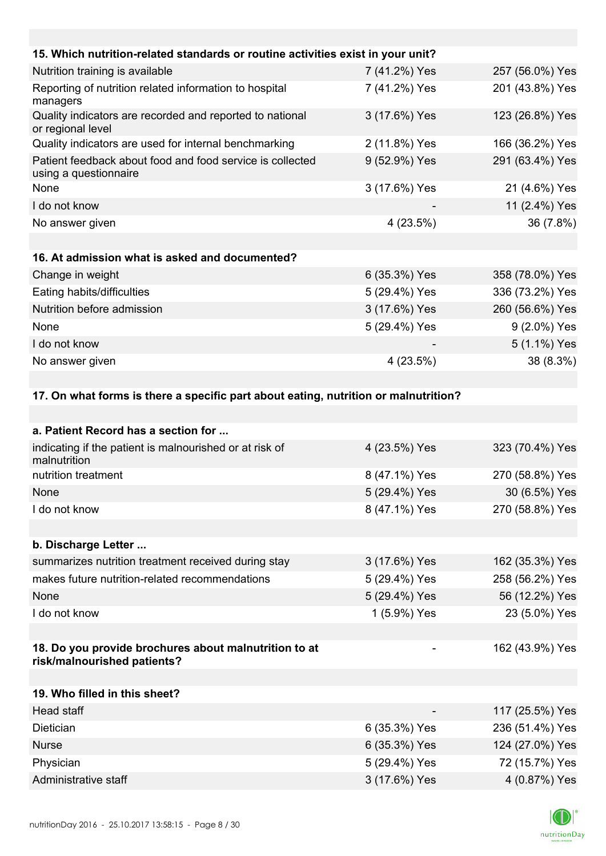| 15. Which nutrition-related standards or routine activities exist in your unit?     |               |                 |
|-------------------------------------------------------------------------------------|---------------|-----------------|
| Nutrition training is available                                                     | 7 (41.2%) Yes | 257 (56.0%) Yes |
| Reporting of nutrition related information to hospital<br>managers                  | 7 (41.2%) Yes | 201 (43.8%) Yes |
| Quality indicators are recorded and reported to national<br>or regional level       | 3 (17.6%) Yes | 123 (26.8%) Yes |
| Quality indicators are used for internal benchmarking                               | 2 (11.8%) Yes | 166 (36.2%) Yes |
| Patient feedback about food and food service is collected<br>using a questionnaire  | 9 (52.9%) Yes | 291 (63.4%) Yes |
| None                                                                                | 3 (17.6%) Yes | 21 (4.6%) Yes   |
| I do not know                                                                       |               | 11 (2.4%) Yes   |
| No answer given                                                                     | 4(23.5%)      | 36 (7.8%)       |
|                                                                                     |               |                 |
| 16. At admission what is asked and documented?                                      |               |                 |
| Change in weight                                                                    | 6 (35.3%) Yes | 358 (78.0%) Yes |
| Eating habits/difficulties                                                          | 5 (29.4%) Yes | 336 (73.2%) Yes |
| Nutrition before admission                                                          | 3 (17.6%) Yes | 260 (56.6%) Yes |
| None                                                                                | 5 (29.4%) Yes | 9 (2.0%) Yes    |
| I do not know                                                                       |               | 5 (1.1%) Yes    |
| No answer given                                                                     | 4(23.5%)      | 38 (8.3%)       |
|                                                                                     |               |                 |
| 17. On what forms is there a specific part about eating, nutrition or malnutrition? |               |                 |
|                                                                                     |               |                 |
| a. Patient Record has a section for                                                 |               |                 |
| indicating if the patient is malnourished or at risk of<br>malnutrition             | 4 (23.5%) Yes | 323 (70.4%) Yes |
|                                                                                     |               |                 |

| nutrition treatment                                                                  | 8 (47.1%) Yes | 270 (58.8%) Yes |
|--------------------------------------------------------------------------------------|---------------|-----------------|
| None                                                                                 | 5 (29.4%) Yes | 30 (6.5%) Yes   |
| I do not know                                                                        | 8 (47.1%) Yes | 270 (58.8%) Yes |
|                                                                                      |               |                 |
| b. Discharge Letter                                                                  |               |                 |
| summarizes nutrition treatment received during stay                                  | 3 (17.6%) Yes | 162 (35.3%) Yes |
| makes future nutrition-related recommendations                                       | 5 (29.4%) Yes | 258 (56.2%) Yes |
| None                                                                                 | 5 (29.4%) Yes | 56 (12.2%) Yes  |
| I do not know                                                                        | 1 (5.9%) Yes  | 23 (5.0%) Yes   |
|                                                                                      |               |                 |
| 18. Do you provide brochures about malnutrition to at<br>risk/malnourished patients? |               | 162 (43.9%) Yes |

| 19. Who filled in this sheet? |               |                 |
|-------------------------------|---------------|-----------------|
| Head staff                    | -             | 117 (25.5%) Yes |
| <b>Dietician</b>              | 6 (35.3%) Yes | 236 (51.4%) Yes |
| <b>Nurse</b>                  | 6 (35.3%) Yes | 124 (27.0%) Yes |
| Physician                     | 5 (29.4%) Yes | 72 (15.7%) Yes  |
| Administrative staff          | 3 (17.6%) Yes | 4 (0.87%) Yes   |

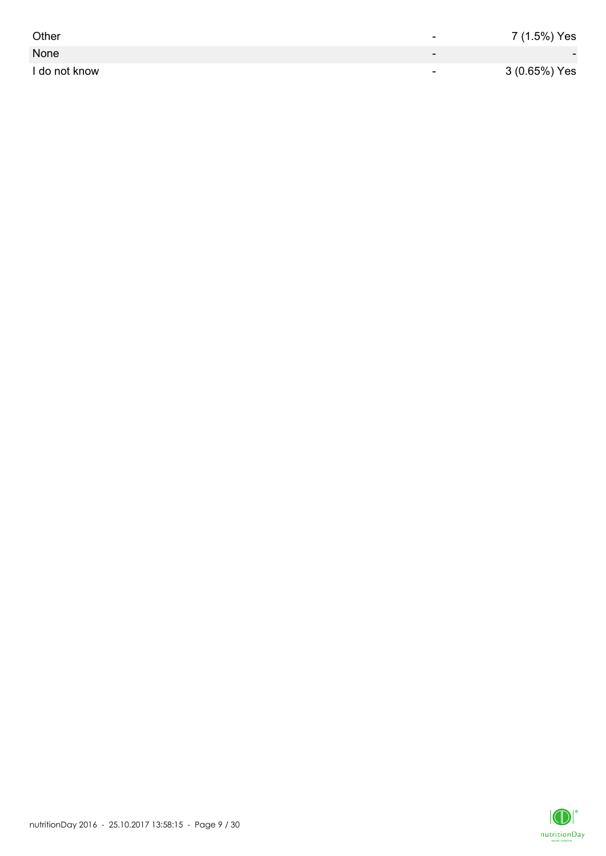| Other         | -                        | 7 (1.5%) Yes             |
|---------------|--------------------------|--------------------------|
| None          | $\overline{\phantom{0}}$ | $\overline{\phantom{0}}$ |
| I do not know | $\overline{\phantom{0}}$ | 3 (0.65%) Yes            |

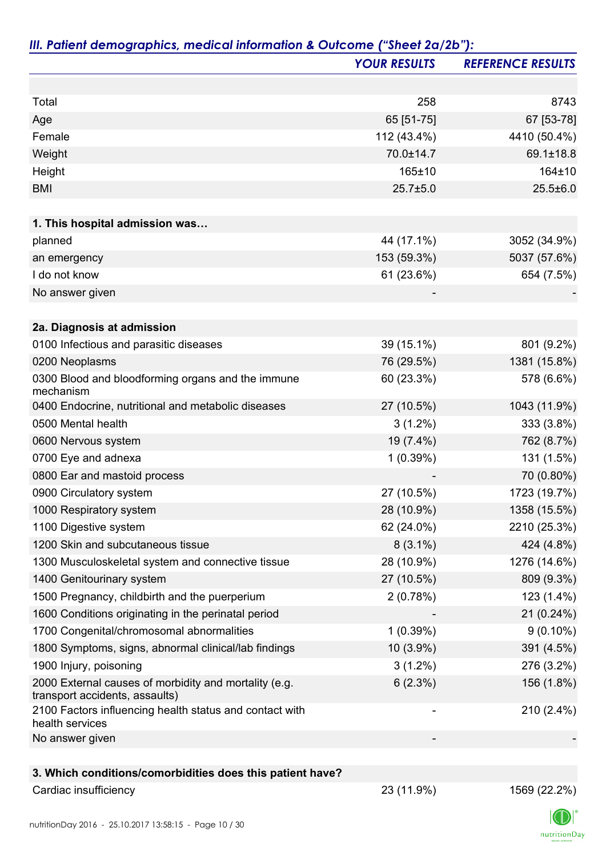|                                                                                         | <b>YOUR RESULTS</b> | <b>REFERENCE RESULTS</b> |
|-----------------------------------------------------------------------------------------|---------------------|--------------------------|
|                                                                                         |                     |                          |
| Total                                                                                   | 258                 | 8743                     |
| Age                                                                                     | 65 [51-75]          | 67 [53-78]               |
| Female                                                                                  | 112 (43.4%)         | 4410 (50.4%)             |
| Weight                                                                                  | 70.0±14.7           | 69.1±18.8                |
| Height                                                                                  | 165±10              | 164±10                   |
| <b>BMI</b>                                                                              | $25.7 \pm 5.0$      | $25.5 \pm 6.0$           |
|                                                                                         |                     |                          |
| 1. This hospital admission was                                                          |                     |                          |
| planned                                                                                 | 44 (17.1%)          | 3052 (34.9%)             |
| an emergency                                                                            | 153 (59.3%)         | 5037 (57.6%)             |
| I do not know                                                                           | 61 (23.6%)          | 654 (7.5%)               |
| No answer given                                                                         |                     |                          |
|                                                                                         |                     |                          |
| 2a. Diagnosis at admission                                                              |                     |                          |
| 0100 Infectious and parasitic diseases                                                  | 39 (15.1%)          | 801 (9.2%)               |
| 0200 Neoplasms                                                                          | 76 (29.5%)          | 1381 (15.8%)             |
| 0300 Blood and bloodforming organs and the immune<br>mechanism                          | 60 (23.3%)          | 578 (6.6%)               |
| 0400 Endocrine, nutritional and metabolic diseases                                      | 27 (10.5%)          | 1043 (11.9%)             |
| 0500 Mental health                                                                      | $3(1.2\%)$          | 333 (3.8%)               |
| 0600 Nervous system                                                                     | 19 (7.4%)           | 762 (8.7%)               |
| 0700 Eye and adnexa                                                                     | 1(0.39%)            | 131 (1.5%)               |
| 0800 Ear and mastoid process                                                            |                     | 70 (0.80%)               |
| 0900 Circulatory system                                                                 | 27 (10.5%)          | 1723 (19.7%)             |
| 1000 Respiratory system                                                                 | 28 (10.9%)          | 1358 (15.5%)             |
| 1100 Digestive system                                                                   | 62 (24.0%)          | 2210 (25.3%)             |
| 1200 Skin and subcutaneous tissue                                                       | $8(3.1\%)$          | 424 (4.8%)               |
| 1300 Musculoskeletal system and connective tissue                                       | 28 (10.9%)          | 1276 (14.6%)             |
| 1400 Genitourinary system                                                               | 27 (10.5%)          | 809 (9.3%)               |
| 1500 Pregnancy, childbirth and the puerperium                                           | 2(0.78%)            | 123 (1.4%)               |
| 1600 Conditions originating in the perinatal period                                     |                     | 21 (0.24%)               |
| 1700 Congenital/chromosomal abnormalities                                               | 1(0.39%)            | $9(0.10\%)$              |
| 1800 Symptoms, signs, abnormal clinical/lab findings                                    | $10(3.9\%)$         | 391 (4.5%)               |
| 1900 Injury, poisoning                                                                  | $3(1.2\%)$          | 276 (3.2%)               |
| 2000 External causes of morbidity and mortality (e.g.<br>transport accidents, assaults) | 6(2.3%)             | 156 (1.8%)               |
| 2100 Factors influencing health status and contact with<br>health services              |                     | 210 (2.4%)               |
| No answer given                                                                         |                     |                          |

### **3. Which conditions/comorbidities does this patient have?**

Cardiac insufficiency 23 (11.9%) 1569 (22.2%)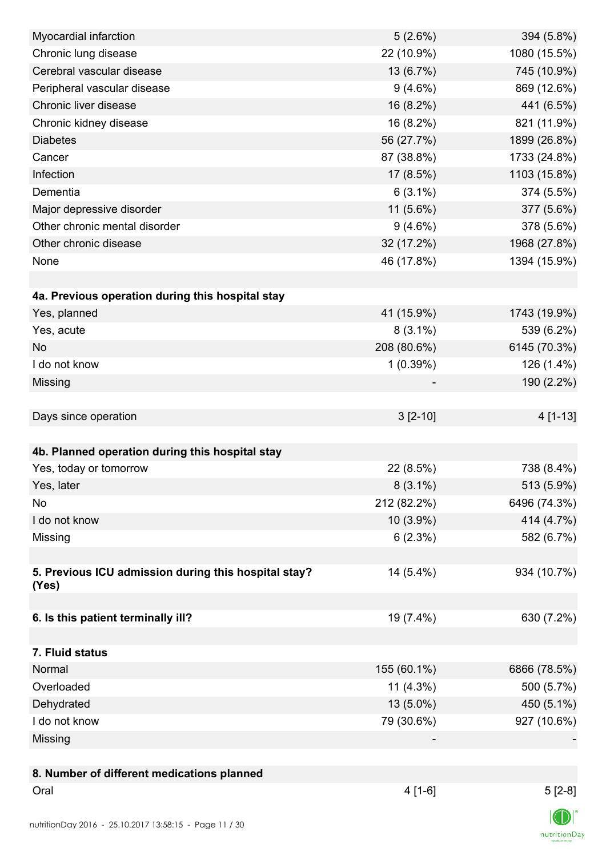| Myocardial infarction                                                    | 5(2.6%)     | 394 (5.8%)   |
|--------------------------------------------------------------------------|-------------|--------------|
| Chronic lung disease                                                     | 22 (10.9%)  | 1080 (15.5%) |
| Cerebral vascular disease                                                | 13 (6.7%)   | 745 (10.9%)  |
| Peripheral vascular disease                                              | $9(4.6\%)$  | 869 (12.6%)  |
| Chronic liver disease                                                    | 16 (8.2%)   | 441 (6.5%)   |
| Chronic kidney disease                                                   | 16 (8.2%)   | 821 (11.9%)  |
| <b>Diabetes</b>                                                          | 56 (27.7%)  | 1899 (26.8%) |
| Cancer                                                                   | 87 (38.8%)  | 1733 (24.8%) |
| Infection                                                                | 17 (8.5%)   | 1103 (15.8%) |
| Dementia                                                                 | $6(3.1\%)$  | 374 (5.5%)   |
| Major depressive disorder                                                | 11 (5.6%)   | 377 (5.6%)   |
| Other chronic mental disorder                                            | $9(4.6\%)$  | 378 (5.6%)   |
| Other chronic disease                                                    | 32 (17.2%)  | 1968 (27.8%) |
| None                                                                     | 46 (17.8%)  | 1394 (15.9%) |
|                                                                          |             |              |
| 4a. Previous operation during this hospital stay                         |             |              |
| Yes, planned                                                             | 41 (15.9%)  | 1743 (19.9%) |
| Yes, acute                                                               | $8(3.1\%)$  | 539 (6.2%)   |
| <b>No</b>                                                                | 208 (80.6%) | 6145 (70.3%) |
| I do not know                                                            | 1(0.39%)    | 126 (1.4%)   |
| Missing                                                                  |             | 190 (2.2%)   |
|                                                                          |             |              |
| Days since operation                                                     | $3[2-10]$   | 4 [1-13]     |
|                                                                          |             |              |
| 4b. Planned operation during this hospital stay                          |             |              |
| Yes, today or tomorrow                                                   | 22 (8.5%)   | 738 (8.4%)   |
| Yes, later                                                               | $8(3.1\%)$  | 513 (5.9%)   |
| No                                                                       | 212 (82.2%) | 6496 (74.3%) |
| I do not know                                                            | 10 (3.9%)   | 414 (4.7%)   |
| Missing                                                                  | 6(2.3%)     | 582 (6.7%)   |
|                                                                          |             |              |
| 5. Previous ICU admission during this hospital stay?                     | 14 (5.4%)   | 934 (10.7%)  |
| (Yes)                                                                    |             |              |
|                                                                          |             |              |
| 6. Is this patient terminally ill?                                       | 19 (7.4%)   | 630 (7.2%)   |
|                                                                          |             |              |
| 7. Fluid status                                                          |             |              |
| Normal                                                                   | 155 (60.1%) | 6866 (78.5%) |
| Overloaded                                                               | $11(4.3\%)$ | 500 (5.7%)   |
| Dehydrated                                                               | 13 (5.0%)   | 450 (5.1%)   |
| I do not know                                                            | 79 (30.6%)  | 927 (10.6%)  |
| Missing                                                                  |             |              |
|                                                                          |             |              |
| 8. Number of different medications planned                               |             |              |
| Oral                                                                     | $4[1-6]$    | $5[2-8]$     |
|                                                                          |             |              |
| $25102017135815$ $P_{QQQ}11/30$<br>$n_1$ trition $D_{01}$ / $201$ $\ell$ |             |              |

 $\textsf{nutritionDay}$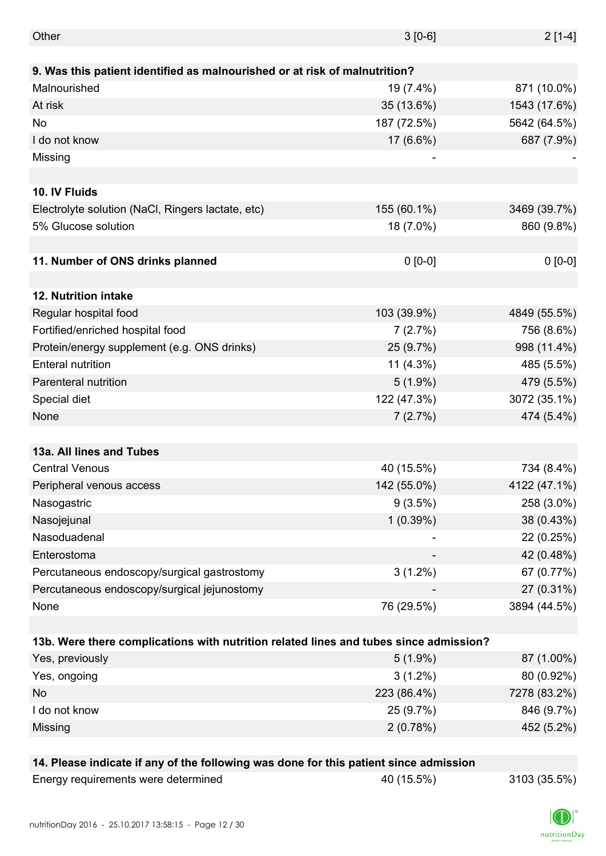| Other                                                                                 | $3 [0-6]$   | $2[1-4]$     |
|---------------------------------------------------------------------------------------|-------------|--------------|
|                                                                                       |             |              |
| 9. Was this patient identified as malnourished or at risk of malnutrition?            |             |              |
| Malnourished                                                                          | 19 (7.4%)   | 871 (10.0%)  |
| At risk                                                                               | 35 (13.6%)  | 1543 (17.6%) |
| No                                                                                    | 187 (72.5%) | 5642 (64.5%) |
| I do not know                                                                         | 17 (6.6%)   | 687 (7.9%)   |
| Missing                                                                               |             |              |
|                                                                                       |             |              |
| 10. IV Fluids                                                                         |             |              |
| Electrolyte solution (NaCl, Ringers lactate, etc)                                     | 155 (60.1%) | 3469 (39.7%) |
| 5% Glucose solution                                                                   | 18 (7.0%)   | 860 (9.8%)   |
|                                                                                       |             |              |
| 11. Number of ONS drinks planned                                                      | $0 [0-0]$   | $0 [0-0]$    |
|                                                                                       |             |              |
| 12. Nutrition intake                                                                  |             |              |
| Regular hospital food                                                                 | 103 (39.9%) | 4849 (55.5%) |
| Fortified/enriched hospital food                                                      | 7(2.7%)     | 756 (8.6%)   |
| Protein/energy supplement (e.g. ONS drinks)                                           | 25 (9.7%)   | 998 (11.4%)  |
| <b>Enteral nutrition</b>                                                              | $11(4.3\%)$ | 485 (5.5%)   |
| Parenteral nutrition                                                                  | $5(1.9\%)$  | 479 (5.5%)   |
| Special diet                                                                          | 122 (47.3%) | 3072 (35.1%) |
| None                                                                                  | 7(2.7%)     | 474 (5.4%)   |
|                                                                                       |             |              |
| 13a. All lines and Tubes                                                              |             |              |
| <b>Central Venous</b>                                                                 | 40 (15.5%)  | 734 (8.4%)   |
| Peripheral venous access                                                              | 142 (55.0%) | 4122 (47.1%) |
| Nasogastric                                                                           | $9(3.5\%)$  | 258 (3.0%)   |
| Nasojejunal                                                                           | $1(0.39\%)$ | 38 (0.43%)   |
| Nasoduadenal                                                                          |             | 22 (0.25%)   |
| Enterostoma                                                                           |             | 42 (0.48%)   |
| Percutaneous endoscopy/surgical gastrostomy                                           | $3(1.2\%)$  | 67 (0.77%)   |
| Percutaneous endoscopy/surgical jejunostomy                                           |             | 27 (0.31%)   |
| None                                                                                  | 76 (29.5%)  | 3894 (44.5%) |
|                                                                                       |             |              |
| 13b. Were there complications with nutrition related lines and tubes since admission? |             |              |
| Yes, previously                                                                       | $5(1.9\%)$  | 87 (1.00%)   |
| Yes, ongoing                                                                          | $3(1.2\%)$  | 80 (0.92%)   |
| No                                                                                    | 223 (86.4%) | 7278 (83.2%) |
| I do not know                                                                         | 25 (9.7%)   | 846 (9.7%)   |
| Missing                                                                               | 2(0.78%)    | 452 (5.2%)   |
|                                                                                       |             |              |
| 14. Please indicate if any of the following was done for this patient since admission |             |              |
| Energy requirements were determined                                                   | 40 (15.5%)  | 3103 (35.5%) |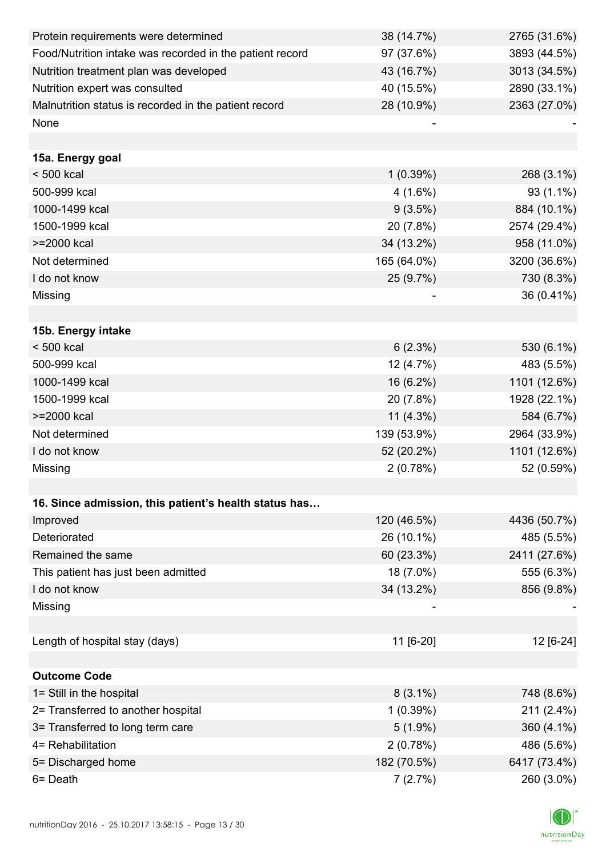| Protein requirements were determined                     | 38 (14.7%)  | 2765 (31.6%) |
|----------------------------------------------------------|-------------|--------------|
| Food/Nutrition intake was recorded in the patient record | 97 (37.6%)  | 3893 (44.5%) |
| Nutrition treatment plan was developed                   | 43 (16.7%)  | 3013 (34.5%) |
| Nutrition expert was consulted                           | 40 (15.5%)  | 2890 (33.1%) |
| Malnutrition status is recorded in the patient record    | 28 (10.9%)  | 2363 (27.0%) |
| None                                                     |             |              |
|                                                          |             |              |
| 15a. Energy goal                                         |             |              |
| $< 500$ kcal                                             | 1(0.39%)    | 268 (3.1%)   |
| 500-999 kcal                                             | $4(1.6\%)$  | 93 (1.1%)    |
| 1000-1499 kcal                                           | 9(3.5%)     | 884 (10.1%)  |
| 1500-1999 kcal                                           | 20 (7.8%)   | 2574 (29.4%) |
| >=2000 kcal                                              | 34 (13.2%)  | 958 (11.0%)  |
| Not determined                                           | 165 (64.0%) | 3200 (36.6%) |
| I do not know                                            | 25 (9.7%)   | 730 (8.3%)   |
| Missing                                                  |             | 36 (0.41%)   |
|                                                          |             |              |
| 15b. Energy intake                                       |             |              |
| $< 500$ kcal                                             | 6(2.3%)     | 530 (6.1%)   |
| 500-999 kcal                                             | 12 (4.7%)   | 483 (5.5%)   |
| 1000-1499 kcal                                           | 16 (6.2%)   | 1101 (12.6%) |
| 1500-1999 kcal                                           | 20 (7.8%)   | 1928 (22.1%) |
| >=2000 kcal                                              | $11(4.3\%)$ | 584 (6.7%)   |
| Not determined                                           | 139 (53.9%) | 2964 (33.9%) |
| I do not know                                            | 52 (20.2%)  | 1101 (12.6%) |
| Missing                                                  | 2(0.78%)    | 52 (0.59%)   |
|                                                          |             |              |
| 16. Since admission, this patient's health status has    |             |              |
| Improved                                                 | 120 (46.5%) | 4436 (50.7%) |
| Deteriorated                                             | 26 (10.1%)  | 485 (5.5%)   |
| Remained the same                                        | 60 (23.3%)  | 2411 (27.6%) |
| This patient has just been admitted                      | 18 (7.0%)   | 555 (6.3%)   |
| I do not know                                            | 34 (13.2%)  | 856 (9.8%)   |
| Missing                                                  |             |              |
|                                                          |             |              |
| Length of hospital stay (days)                           | 11 [6-20]   | 12 [6-24]    |
|                                                          |             |              |
| <b>Outcome Code</b>                                      |             |              |
| 1= Still in the hospital                                 | $8(3.1\%)$  | 748 (8.6%)   |
| 2= Transferred to another hospital                       | 1(0.39%)    | 211 (2.4%)   |
| 3= Transferred to long term care                         | $5(1.9\%)$  | 360 (4.1%)   |
| 4= Rehabilitation                                        | 2(0.78%)    | 486 (5.6%)   |
| 5= Discharged home                                       | 182 (70.5%) | 6417 (73.4%) |
| 6= Death                                                 | 7(2.7%)     | 260 (3.0%)   |

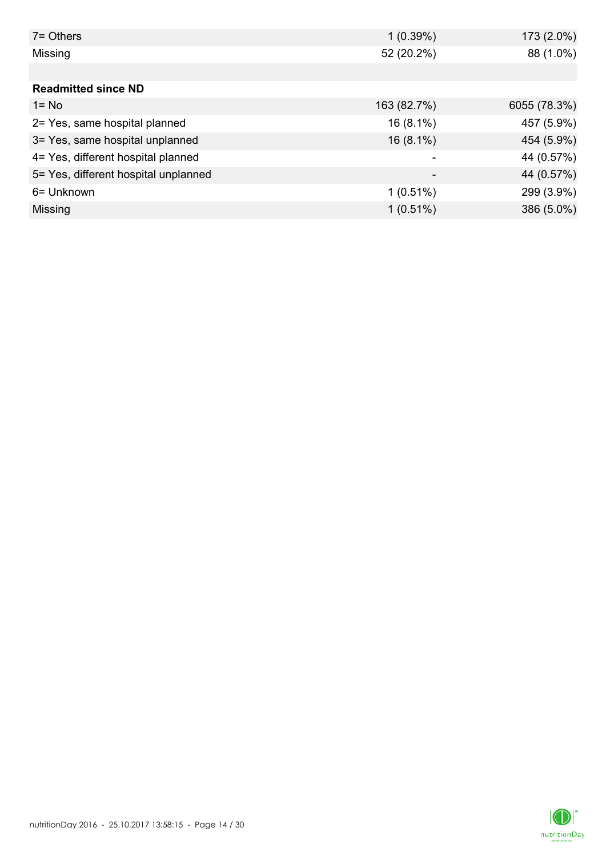| $7 =$ Others                         | 1(0.39%)    | 173 (2.0%)   |
|--------------------------------------|-------------|--------------|
| Missing                              | 52 (20.2%)  | 88 (1.0%)    |
|                                      |             |              |
| <b>Readmitted since ND</b>           |             |              |
| $1 = No$                             | 163 (82.7%) | 6055 (78.3%) |
| 2= Yes, same hospital planned        | $16(8.1\%)$ | 457 (5.9%)   |
| 3= Yes, same hospital unplanned      | $16(8.1\%)$ | 454 (5.9%)   |
| 4= Yes, different hospital planned   |             | 44 (0.57%)   |
| 5= Yes, different hospital unplanned |             | 44 (0.57%)   |
| 6= Unknown                           | $1(0.51\%)$ | 299 (3.9%)   |
| Missing                              | $1(0.51\%)$ | 386 (5.0%)   |

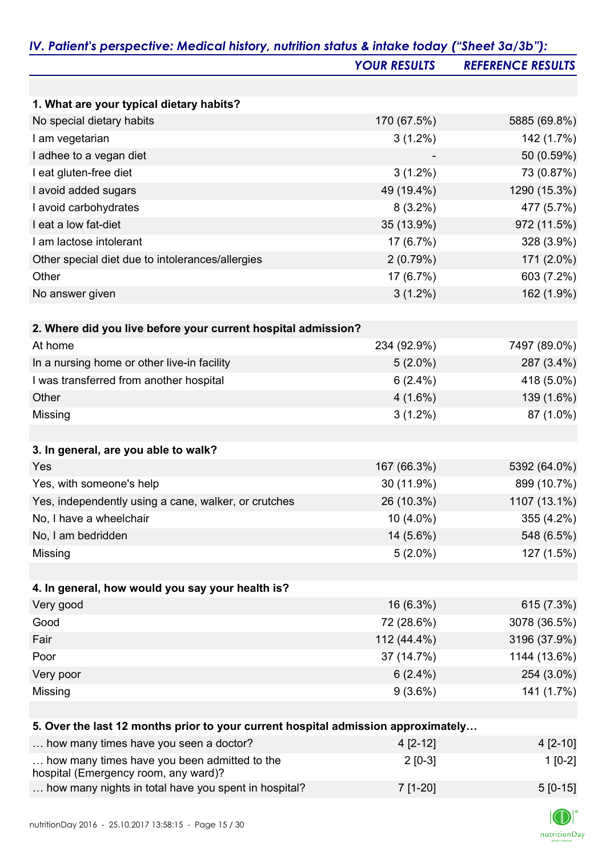|                                                                                      | <b>YOUR RESULTS</b> | <b>REFERENCE RESULTS</b> |
|--------------------------------------------------------------------------------------|---------------------|--------------------------|
|                                                                                      |                     |                          |
| 1. What are your typical dietary habits?                                             |                     |                          |
| No special dietary habits                                                            | 170 (67.5%)         | 5885 (69.8%)             |
| I am vegetarian                                                                      | $3(1.2\%)$          | 142 (1.7%)               |
| I adhee to a vegan diet                                                              |                     | 50 (0.59%)               |
| I eat gluten-free diet                                                               | $3(1.2\%)$          | 73 (0.87%)               |
| I avoid added sugars                                                                 | 49 (19.4%)          | 1290 (15.3%)             |
| I avoid carbohydrates                                                                | $8(3.2\%)$          | 477 (5.7%)               |
| I eat a low fat-diet                                                                 | 35 (13.9%)          | 972 (11.5%)              |
| I am lactose intolerant                                                              | 17 (6.7%)           | 328 (3.9%)               |
| Other special diet due to intolerances/allergies                                     | 2(0.79%)            | 171 (2.0%)               |
| Other                                                                                | 17 (6.7%)           | 603 (7.2%)               |
| No answer given                                                                      | $3(1.2\%)$          | 162 (1.9%)               |
| 2. Where did you live before your current hospital admission?                        |                     |                          |
| At home                                                                              | 234 (92.9%)         | 7497 (89.0%)             |
| In a nursing home or other live-in facility                                          | $5(2.0\%)$          | 287 (3.4%)               |
| I was transferred from another hospital                                              | $6(2.4\%)$          | 418 (5.0%)               |
| Other                                                                                | $4(1.6\%)$          | 139 (1.6%)               |
| Missing                                                                              | $3(1.2\%)$          | 87 (1.0%)                |
| 3. In general, are you able to walk?                                                 |                     |                          |
| Yes                                                                                  | 167 (66.3%)         | 5392 (64.0%)             |
| Yes, with someone's help                                                             | 30 (11.9%)          | 899 (10.7%)              |
| Yes, independently using a cane, walker, or crutches                                 | 26 (10.3%)          | 1107 (13.1%)             |
| No, I have a wheelchair                                                              | 10 (4.0%)           | 355 (4.2%)               |
| No, I am bedridden                                                                   | 14 (5.6%)           | 548 (6.5%)               |
| Missing                                                                              | $5(2.0\%)$          | 127 (1.5%)               |
|                                                                                      |                     |                          |
| 4. In general, how would you say your health is?                                     |                     |                          |
| Very good                                                                            | 16 (6.3%)           | 615 (7.3%)               |
| Good                                                                                 | 72 (28.6%)          | 3078 (36.5%)             |
| Fair                                                                                 | 112 (44.4%)         | 3196 (37.9%)             |
| Poor                                                                                 | 37 (14.7%)          | 1144 (13.6%)             |
| Very poor                                                                            | $6(2.4\%)$          | 254 (3.0%)               |
| Missing                                                                              | $9(3.6\%)$          | 141 (1.7%)               |
| 5. Over the last 12 months prior to your current hospital admission approximately    |                     |                          |
| how many times have you seen a doctor?                                               | 4 [2-12]            | $4[2-10]$                |
| how many times have you been admitted to the<br>hospital (Emergency room, any ward)? | $2[0-3]$            | $1[0-2]$                 |

| <b>TOSPITAL (LITTER GETTER</b> TOOM, any wald):      |          |            |
|------------------------------------------------------|----------|------------|
| how many nights in total have you spent in hospital? | 7 [1-20] | $5 [0-15]$ |

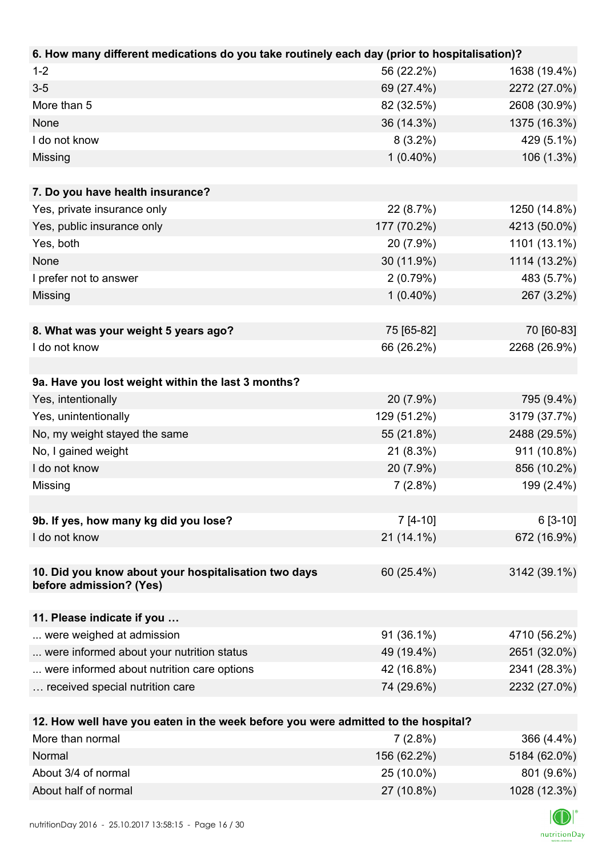| 6. How many different medications do you take routinely each day (prior to hospitalisation)? |             |              |
|----------------------------------------------------------------------------------------------|-------------|--------------|
| $1 - 2$                                                                                      | 56 (22.2%)  | 1638 (19.4%) |
| $3-5$                                                                                        | 69 (27.4%)  | 2272 (27.0%) |
| More than 5                                                                                  | 82 (32.5%)  | 2608 (30.9%) |
| None                                                                                         | 36 (14.3%)  | 1375 (16.3%) |
| I do not know                                                                                | $8(3.2\%)$  | 429 (5.1%)   |
| Missing                                                                                      | $1(0.40\%)$ | 106 (1.3%)   |
|                                                                                              |             |              |
| 7. Do you have health insurance?                                                             |             |              |
| Yes, private insurance only                                                                  | 22 (8.7%)   | 1250 (14.8%) |
| Yes, public insurance only                                                                   | 177 (70.2%) | 4213 (50.0%) |
| Yes, both                                                                                    | 20 (7.9%)   | 1101 (13.1%) |
| None                                                                                         | 30 (11.9%)  | 1114 (13.2%) |
| I prefer not to answer                                                                       | 2(0.79%)    | 483 (5.7%)   |
| Missing                                                                                      | $1(0.40\%)$ | 267 (3.2%)   |
|                                                                                              |             |              |
| 8. What was your weight 5 years ago?                                                         | 75 [65-82]  | 70 [60-83]   |
| I do not know                                                                                | 66 (26.2%)  | 2268 (26.9%) |
|                                                                                              |             |              |
| 9a. Have you lost weight within the last 3 months?                                           |             |              |
| Yes, intentionally                                                                           | 20 (7.9%)   | 795 (9.4%)   |
| Yes, unintentionally                                                                         | 129 (51.2%) | 3179 (37.7%) |
| No, my weight stayed the same                                                                | 55 (21.8%)  | 2488 (29.5%) |
| No, I gained weight                                                                          | 21 (8.3%)   | 911 (10.8%)  |
| I do not know                                                                                | 20 (7.9%)   | 856 (10.2%)  |
| Missing                                                                                      | 7(2.8%)     | 199 (2.4%)   |
|                                                                                              |             |              |
| 9b. If yes, how many kg did you lose?                                                        | $7 [4-10]$  | $6[3-10]$    |
| I do not know                                                                                | 21 (14.1%)  | 672 (16.9%)  |
|                                                                                              |             |              |
| 10. Did you know about your hospitalisation two days                                         | 60 (25.4%)  | 3142 (39.1%) |
| before admission? (Yes)                                                                      |             |              |
|                                                                                              |             |              |
| 11. Please indicate if you                                                                   |             |              |
| were weighed at admission                                                                    | 91 (36.1%)  | 4710 (56.2%) |
| were informed about your nutrition status                                                    | 49 (19.4%)  | 2651 (32.0%) |
| were informed about nutrition care options                                                   | 42 (16.8%)  | 2341 (28.3%) |
| received special nutrition care                                                              | 74 (29.6%)  | 2232 (27.0%) |
|                                                                                              |             |              |
| 12. How well have you eaten in the week before you were admitted to the hospital?            |             |              |
| More than normal                                                                             | 7(2.8%)     | 366 (4.4%)   |

| <b>NOTE than normal</b> | $(2.0\%)$   | 300 (4.4%)   |
|-------------------------|-------------|--------------|
| Normal                  | 156 (62.2%) | 5184 (62.0%) |
| About 3/4 of normal     | 25 (10.0%)  | 801 (9.6%)   |
| About half of normal    | 27 (10.8%)  | 1028 (12.3%) |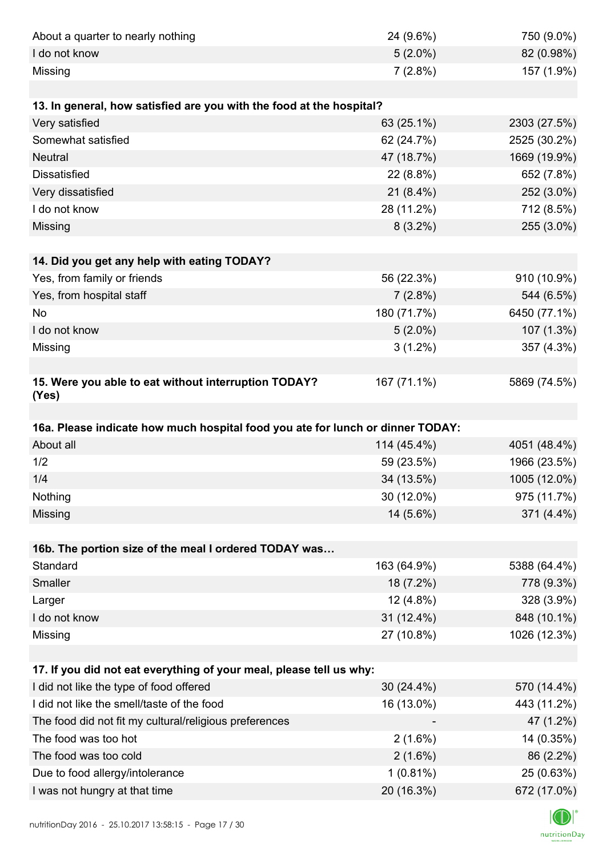| About a quarter to nearly nothing                                              | 24 (9.6%)    | 750 (9.0%)   |
|--------------------------------------------------------------------------------|--------------|--------------|
| I do not know                                                                  | $5(2.0\%)$   | 82 (0.98%)   |
| Missing                                                                        | 7(2.8%)      | 157 (1.9%)   |
|                                                                                |              |              |
| 13. In general, how satisfied are you with the food at the hospital?           |              |              |
| Very satisfied                                                                 | 63 (25.1%)   | 2303 (27.5%) |
| Somewhat satisfied                                                             | 62 (24.7%)   | 2525 (30.2%) |
| <b>Neutral</b>                                                                 | 47 (18.7%)   | 1669 (19.9%) |
| <b>Dissatisfied</b>                                                            | 22 (8.8%)    | 652 (7.8%)   |
| Very dissatisfied                                                              | $21(8.4\%)$  | 252 (3.0%)   |
| I do not know                                                                  | 28 (11.2%)   | 712 (8.5%)   |
| Missing                                                                        | $8(3.2\%)$   | 255 (3.0%)   |
|                                                                                |              |              |
| 14. Did you get any help with eating TODAY?                                    |              |              |
| Yes, from family or friends                                                    | 56 (22.3%)   | 910 (10.9%)  |
| Yes, from hospital staff                                                       | 7(2.8%)      | 544 (6.5%)   |
| No                                                                             | 180 (71.7%)  | 6450 (77.1%) |
| I do not know                                                                  | $5(2.0\%)$   | 107 (1.3%)   |
| Missing                                                                        | $3(1.2\%)$   | 357 (4.3%)   |
|                                                                                |              |              |
| 15. Were you able to eat without interruption TODAY?<br>(Yes)                  | 167 (71.1%)  | 5869 (74.5%) |
|                                                                                |              |              |
| 16a. Please indicate how much hospital food you ate for lunch or dinner TODAY: |              |              |
| About all                                                                      | 114 (45.4%)  | 4051 (48.4%) |
| 1/2                                                                            | 59 (23.5%)   | 1966 (23.5%) |
| 1/4                                                                            | 34 (13.5%)   | 1005 (12.0%) |
| Nothing                                                                        | 30 (12.0%)   | 975 (11.7%)  |
| Missing                                                                        | 14 (5.6%)    | 371 (4.4%)   |
|                                                                                |              |              |
| 16b. The portion size of the meal I ordered TODAY was                          |              |              |
| Standard                                                                       | 163 (64.9%)  | 5388 (64.4%) |
| Smaller                                                                        | 18 (7.2%)    | 778 (9.3%)   |
| Larger                                                                         | 12 (4.8%)    | 328 (3.9%)   |
| I do not know                                                                  | 31 (12.4%)   | 848 (10.1%)  |
| Missing                                                                        | 27 (10.8%)   | 1026 (12.3%) |
|                                                                                |              |              |
| 17. If you did not eat everything of your meal, please tell us why:            |              |              |
|                                                                                |              |              |
| I did not like the type of food offered                                        | $30(24.4\%)$ | 570 (14.4%)  |
| I did not like the smell/taste of the food                                     | 16 (13.0%)   | 443 (11.2%)  |
| The food did not fit my cultural/religious preferences                         |              | 47 (1.2%)    |
| The food was too hot                                                           | $2(1.6\%)$   | 14 (0.35%)   |
| The food was too cold                                                          | $2(1.6\%)$   | 86 (2.2%)    |
| Due to food allergy/intolerance                                                | $1(0.81\%)$  | 25 (0.63%)   |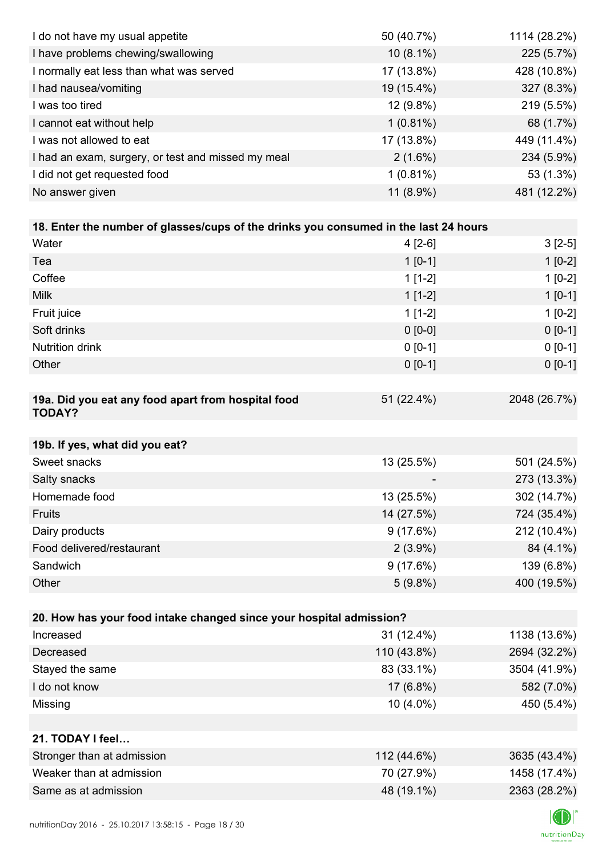| I do not have my usual appetite                                                      | 50 (40.7%)  | 1114 (28.2%) |
|--------------------------------------------------------------------------------------|-------------|--------------|
| I have problems chewing/swallowing                                                   | $10(8.1\%)$ | 225 (5.7%)   |
| I normally eat less than what was served                                             | 17 (13.8%)  | 428 (10.8%)  |
| I had nausea/vomiting                                                                | 19 (15.4%)  | 327 (8.3%)   |
| I was too tired                                                                      | 12 (9.8%)   | 219 (5.5%)   |
| I cannot eat without help                                                            | $1(0.81\%)$ | 68 (1.7%)    |
| I was not allowed to eat                                                             | 17 (13.8%)  | 449 (11.4%)  |
| I had an exam, surgery, or test and missed my meal                                   | $2(1.6\%)$  | 234 (5.9%)   |
| I did not get requested food                                                         | $1(0.81\%)$ | 53 (1.3%)    |
| No answer given                                                                      | 11 (8.9%)   | 481 (12.2%)  |
|                                                                                      |             |              |
| 18. Enter the number of glasses/cups of the drinks you consumed in the last 24 hours |             |              |
| Water                                                                                | $4[2-6]$    | $3[2-5]$     |
| Tea                                                                                  | $1[0-1]$    | $1[0-2]$     |
| Coffee                                                                               | $1[1-2]$    | $1[0-2]$     |
| <b>Milk</b>                                                                          | $1[1-2]$    | $1[0-1]$     |
| Fruit juice                                                                          | $1[1-2]$    | $1[0-2]$     |
| Soft drinks                                                                          | $0 [0-0]$   | $0[0-1]$     |
| <b>Nutrition drink</b>                                                               | $0 [0-1]$   | $0 [0-1]$    |
| Other                                                                                | $0 [0-1]$   | $0 [0-1]$    |
|                                                                                      |             |              |
| 19a. Did you eat any food apart from hospital food                                   | 51 (22.4%)  | 2048 (26.7%) |
| <b>TODAY?</b>                                                                        |             |              |
| 19b. If yes, what did you eat?                                                       |             |              |
| Sweet snacks                                                                         | 13 (25.5%)  | 501 (24.5%)  |
| Salty snacks                                                                         |             | 273 (13.3%)  |
| Homemade food                                                                        | 13 (25.5%)  | 302 (14.7%)  |
| Fruits                                                                               | 14 (27.5%)  | 724 (35.4%)  |
| Dairy products                                                                       | 9(17.6%)    | 212 (10.4%)  |
| Food delivered/restaurant                                                            | $2(3.9\%)$  | 84 (4.1%)    |
| Sandwich                                                                             | 9(17.6%)    | 139 (6.8%)   |
| Other                                                                                | $5(9.8\%)$  | 400 (19.5%)  |
|                                                                                      |             |              |
| 20. How has your food intake changed since your hospital admission?                  |             |              |
| Increased                                                                            | 31 (12.4%)  | 1138 (13.6%) |
| Decreased                                                                            | 110 (43.8%) | 2694 (32.2%) |
| Stayed the same                                                                      | 83 (33.1%)  | 3504 (41.9%) |
| I do not know                                                                        | 17 (6.8%)   | 582 (7.0%)   |
| Missing                                                                              | 10 (4.0%)   | 450 (5.4%)   |
|                                                                                      |             |              |
| 21. TODAY I feel                                                                     |             |              |
| Stronger than at admission                                                           | 112 (44.6%) | 3635 (43.4%) |
| Weaker than at admission                                                             | 70 (27.9%)  | 1458 (17.4%) |
| Same as at admission                                                                 | 48 (19.1%)  | 2363 (28.2%) |
|                                                                                      |             |              |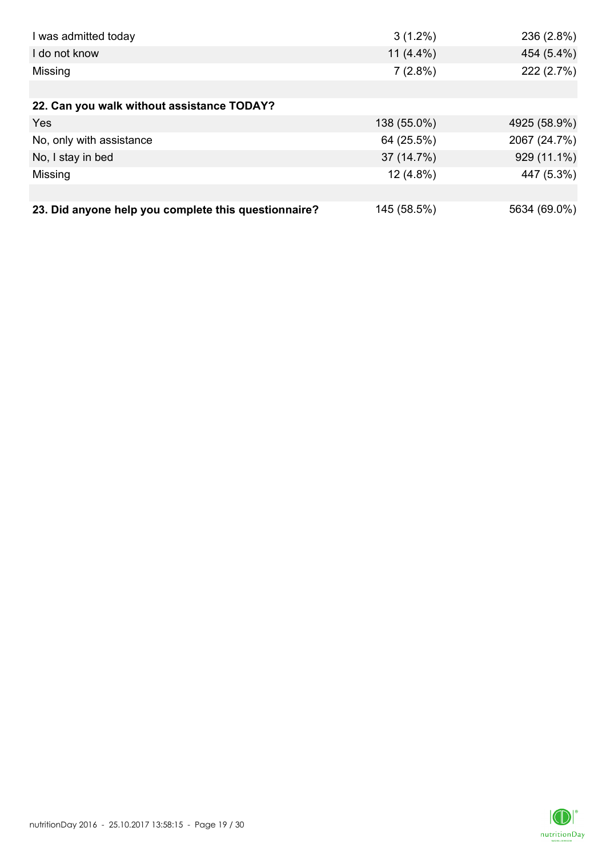| I was admitted today                                 | $3(1.2\%)$   | 236 (2.8%)   |
|------------------------------------------------------|--------------|--------------|
| I do not know                                        | 11 $(4.4\%)$ | 454 (5.4%)   |
| Missing                                              | 7(2.8%)      | 222 (2.7%)   |
|                                                      |              |              |
| 22. Can you walk without assistance TODAY?           |              |              |
| Yes                                                  | 138 (55.0%)  | 4925 (58.9%) |
| No, only with assistance                             | 64 (25.5%)   | 2067 (24.7%) |
| No, I stay in bed                                    | 37 (14.7%)   | 929 (11.1%)  |
| Missing                                              | $12(4.8\%)$  | 447 (5.3%)   |
|                                                      |              |              |
| 23. Did anyone help you complete this questionnaire? | 145 (58.5%)  | 5634 (69.0%) |

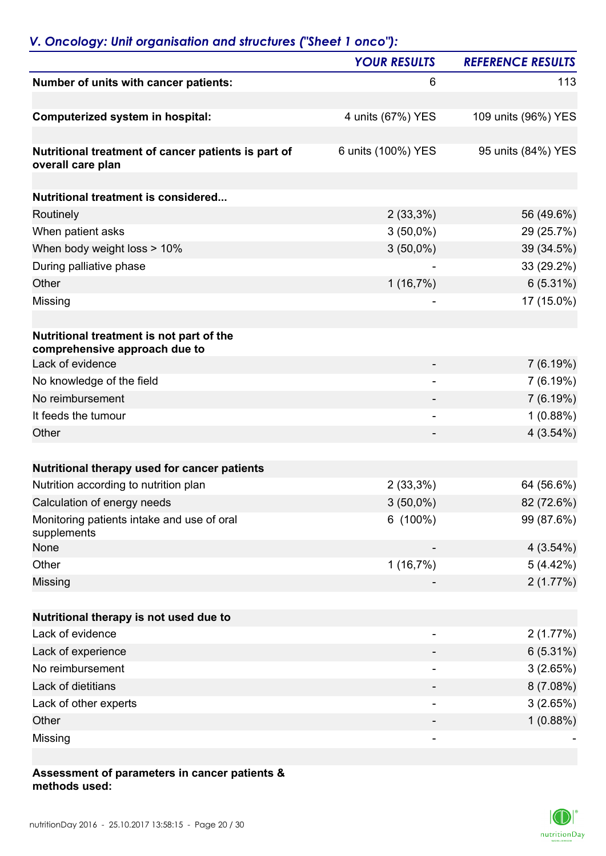## *V. Oncology: Unit organisation and structures ("Sheet 1 onco"):*

|                                                                           | <b>YOUR RESULTS</b>      | <b>REFERENCE RESULTS</b> |
|---------------------------------------------------------------------------|--------------------------|--------------------------|
| Number of units with cancer patients:                                     | 6                        | 113                      |
| Computerized system in hospital:                                          | 4 units (67%) YES        | 109 units (96%) YES      |
| Nutritional treatment of cancer patients is part of<br>overall care plan  | 6 units (100%) YES       | 95 units (84%) YES       |
| Nutritional treatment is considered                                       |                          |                          |
|                                                                           |                          |                          |
| Routinely                                                                 | $2(33,3\%)$              | 56 (49.6%)               |
| When patient asks                                                         | $3(50,0\%)$              | 29 (25.7%)               |
| When body weight loss > 10%                                               | $3(50,0\%)$              | 39 (34.5%)               |
| During palliative phase<br>Other                                          |                          | 33 (29.2%)               |
|                                                                           | 1(16,7%)                 | $6(5.31\%)$              |
| Missing                                                                   |                          | 17 (15.0%)               |
| Nutritional treatment is not part of the<br>comprehensive approach due to |                          |                          |
| Lack of evidence                                                          |                          | 7(6.19%)                 |
| No knowledge of the field                                                 | $\overline{\phantom{0}}$ | 7(6.19%)                 |
| No reimbursement                                                          |                          | 7(6.19%)                 |
| It feeds the tumour                                                       | -                        | 1(0.88%)                 |
| Other                                                                     |                          | 4(3.54%)                 |
| Nutritional therapy used for cancer patients                              |                          |                          |
| Nutrition according to nutrition plan                                     | $2(33,3\%)$              | 64 (56.6%)               |
| Calculation of energy needs                                               | $3(50,0\%)$              | 82 (72.6%)               |
| Monitoring patients intake and use of oral<br>supplements                 | $6(100\%)$               | 99 (87.6%)               |
| None                                                                      |                          | 4(3.54%)                 |
| Other                                                                     | 1(16,7%)                 | 5(4.42%)                 |
| Missing                                                                   |                          | 2(1.77%)                 |
| Nutritional therapy is not used due to                                    |                          |                          |
| Lack of evidence                                                          |                          | 2(1.77%)                 |
| Lack of experience                                                        |                          | 6(5.31%)                 |
| No reimbursement                                                          |                          | 3(2.65%)                 |
| Lack of dietitians                                                        |                          | 8(7.08%)                 |
| Lack of other experts                                                     | -                        | 3(2.65%)                 |
| Other                                                                     |                          | 1(0.88%)                 |
| Missing                                                                   |                          |                          |
|                                                                           |                          |                          |

#### **Assessment of parameters in cancer patients & methods used:**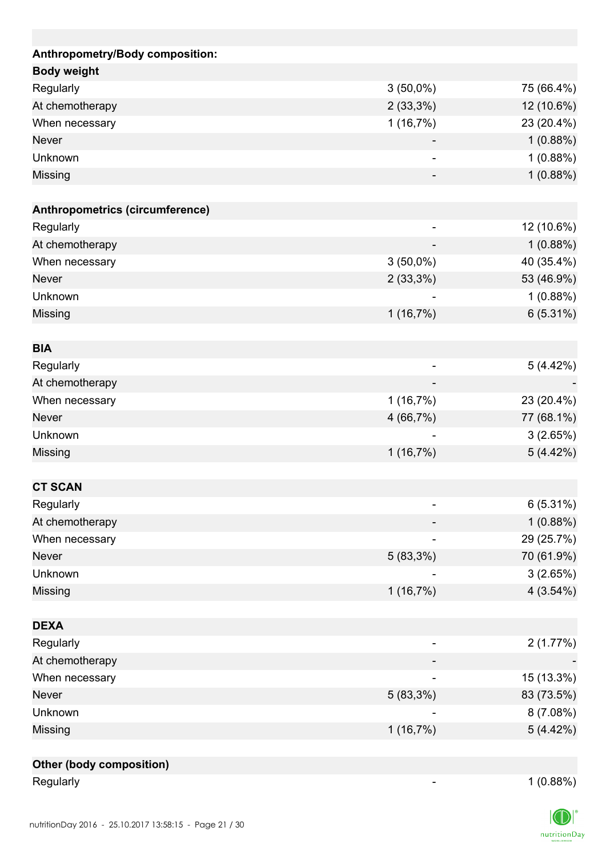| Anthropometry/Body composition: |                          |            |
|---------------------------------|--------------------------|------------|
| <b>Body weight</b>              |                          |            |
| Regularly                       | $3(50,0\%)$              | 75 (66.4%) |
| At chemotherapy                 | $2(33,3\%)$              | 12 (10.6%) |
| When necessary                  | 1(16,7%)                 | 23 (20.4%) |
| <b>Never</b>                    |                          | 1(0.88%)   |
| Unknown                         | $\overline{\phantom{a}}$ | 1(0.88%)   |
| Missing                         |                          | 1(0.88%)   |
|                                 |                          |            |
| Anthropometrics (circumference) |                          |            |
| Regularly                       |                          | 12 (10.6%) |
| At chemotherapy                 |                          | 1(0.88%)   |
| When necessary                  | $3(50,0\%)$              | 40 (35.4%) |
| <b>Never</b>                    | 2(33,3%)                 | 53 (46.9%) |
| Unknown                         |                          | 1(0.88%)   |
| Missing                         | 1(16,7%)                 | 6(5.31%)   |
|                                 |                          |            |
| <b>BIA</b>                      |                          |            |
| Regularly                       |                          | 5(4.42%)   |
| At chemotherapy                 |                          |            |
| When necessary                  | 1(16,7%)                 | 23 (20.4%) |
| <b>Never</b>                    | 4(66,7%)                 | 77 (68.1%) |
| Unknown                         |                          | 3(2.65%)   |
| Missing                         | 1(16,7%)                 | 5(4.42%)   |
|                                 |                          |            |
| <b>CT SCAN</b>                  |                          |            |
| Regularly                       |                          | 6(5.31%)   |
| At chemotherapy                 |                          | 1(0.88%)   |
| When necessary                  |                          | 29 (25.7%) |
| Never                           | $5(83,3\%)$              | 70 (61.9%) |
| Unknown                         |                          | 3(2.65%)   |
| Missing                         | 1(16,7%)                 | 4(3.54%)   |
|                                 |                          |            |
| <b>DEXA</b>                     |                          |            |
| Regularly                       |                          | 2(1.77%)   |
| At chemotherapy                 |                          |            |
| When necessary                  |                          | 15 (13.3%) |
| <b>Never</b>                    | 5 (83,3%)                | 83 (73.5%) |
| Unknown                         |                          | 8 (7.08%)  |
| Missing                         | 1(16,7%)                 | 5(4.42%)   |
|                                 |                          |            |
| <b>Other (body composition)</b> |                          |            |

Regularly 1 (0.88%)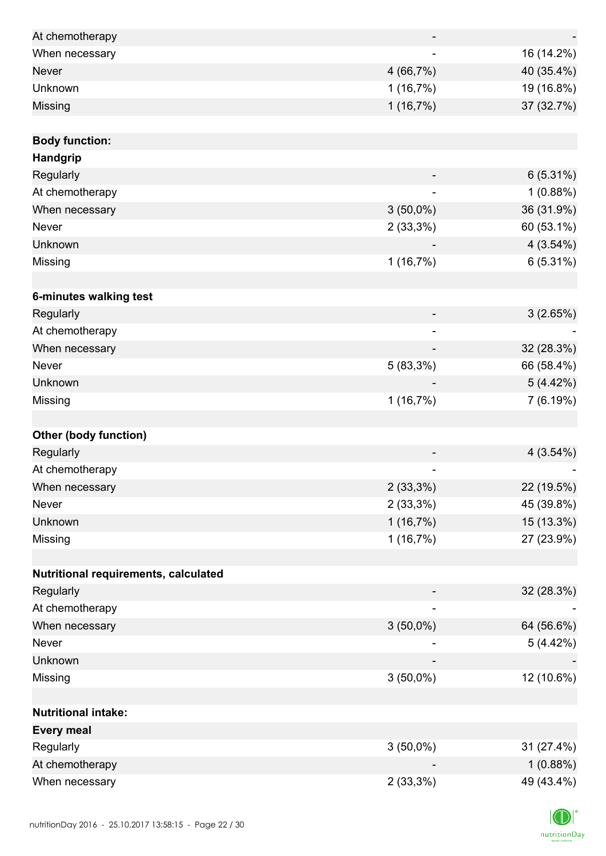| At chemotherapy                      |                          |            |
|--------------------------------------|--------------------------|------------|
| When necessary                       |                          | 16 (14.2%) |
| <b>Never</b>                         | 4(66,7%)                 | 40 (35.4%) |
| Unknown                              | 1(16,7%)                 | 19 (16.8%) |
| Missing                              | 1(16,7%)                 | 37 (32.7%) |
|                                      |                          |            |
| <b>Body function:</b>                |                          |            |
| Handgrip                             |                          |            |
| Regularly                            |                          | 6(5.31%)   |
| At chemotherapy                      |                          | 1(0.88%)   |
| When necessary                       | $3(50,0\%)$              | 36 (31.9%) |
| Never                                | $2(33,3\%)$              | 60 (53.1%) |
| Unknown                              |                          | 4(3.54%)   |
| Missing                              | 1(16,7%)                 | 6(5.31%)   |
|                                      |                          |            |
| 6-minutes walking test               |                          |            |
| Regularly                            |                          | 3(2.65%)   |
| At chemotherapy                      | $\overline{\phantom{0}}$ |            |
| When necessary                       |                          | 32 (28.3%) |
| Never                                | 5(83,3%)                 | 66 (58.4%) |
| Unknown                              |                          | 5(4.42%)   |
| Missing                              | 1(16,7%)                 | 7(6.19%)   |
|                                      |                          |            |
| <b>Other (body function)</b>         |                          |            |
| Regularly                            |                          | 4(3.54%)   |
| At chemotherapy                      |                          |            |
| When necessary                       | $2(33,3\%)$              | 22 (19.5%) |
| Never                                | $2(33,3\%)$              | 45 (39.8%) |
| Unknown                              | 1(16,7%)                 | 15 (13.3%) |
| Missing                              | 1(16,7%)                 | 27 (23.9%) |
|                                      |                          |            |
| Nutritional requirements, calculated |                          |            |
| Regularly                            |                          | 32 (28.3%) |
| At chemotherapy                      |                          |            |
| When necessary                       | $3(50,0\%)$              | 64 (56.6%) |
| Never                                |                          | 5(4.42%)   |
| Unknown                              |                          |            |
| Missing                              | $3(50,0\%)$              | 12 (10.6%) |
|                                      |                          |            |
| <b>Nutritional intake:</b>           |                          |            |
| <b>Every meal</b>                    |                          |            |
| Regularly                            | $3(50,0\%)$              | 31 (27.4%) |
| At chemotherapy                      |                          | 1(0.88%)   |
| When necessary                       | $2(33,3\%)$              | 49 (43.4%) |

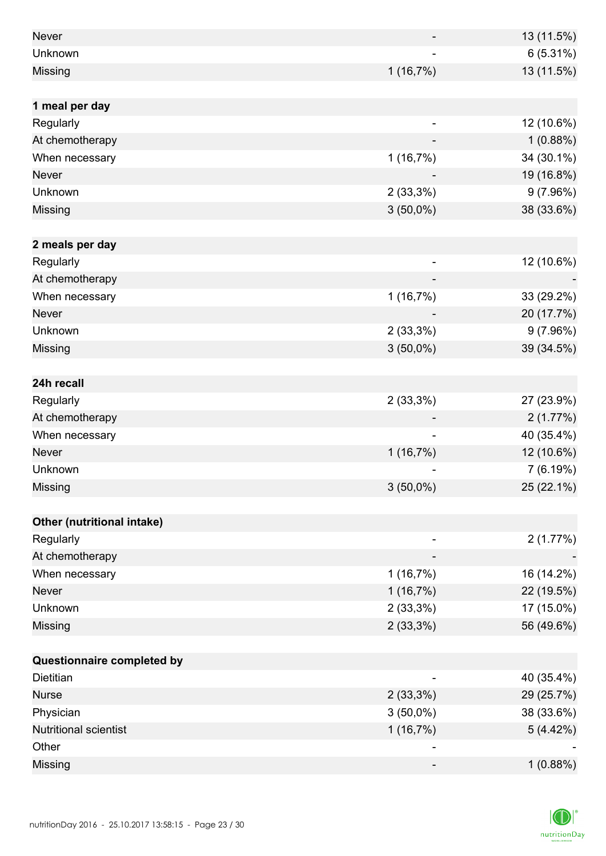| <b>Never</b>                 |             | 13 (11.5%) |
|------------------------------|-------------|------------|
| Unknown                      |             | 6(5.31%)   |
| Missing                      | 1(16,7%)    | 13 (11.5%) |
|                              |             |            |
| 1 meal per day               |             |            |
| Regularly                    | -           | 12 (10.6%) |
| At chemotherapy              |             | 1(0.88%)   |
| When necessary               | 1(16,7%)    | 34 (30.1%) |
| <b>Never</b>                 |             | 19 (16.8%) |
| Unknown                      | 2(33,3%)    | 9(7.96%)   |
| Missing                      | $3(50,0\%)$ | 38 (33.6%) |
|                              |             |            |
| 2 meals per day              |             |            |
| Regularly                    |             | 12 (10.6%) |
| At chemotherapy              |             |            |
| When necessary               | 1(16,7%)    | 33 (29.2%) |
| <b>Never</b>                 |             | 20 (17.7%) |
| Unknown                      | $2(33,3\%)$ | 9(7.96%)   |
| Missing                      | $3(50,0\%)$ | 39 (34.5%) |
|                              |             |            |
| 24h recall                   |             |            |
| Regularly                    | 2(33,3%)    | 27 (23.9%) |
| At chemotherapy              |             | 2(1.77%)   |
| When necessary               |             | 40 (35.4%) |
| <b>Never</b>                 | 1(16,7%)    | 12 (10.6%) |
| Unknown                      |             | 7(6.19%)   |
| Missing                      | $3(50,0\%)$ | 25 (22.1%) |
|                              |             |            |
| Other (nutritional intake)   |             |            |
| Regularly                    |             | 2(1.77%)   |
| At chemotherapy              |             |            |
| When necessary               | 1(16,7%)    | 16 (14.2%) |
| <b>Never</b>                 | 1(16,7%)    | 22 (19.5%) |
| Unknown                      | $2(33,3\%)$ | 17 (15.0%) |
| Missing                      | $2(33,3\%)$ | 56 (49.6%) |
|                              |             |            |
| Questionnaire completed by   |             |            |
| Dietitian                    |             | 40 (35.4%) |
| <b>Nurse</b>                 | $2(33,3\%)$ | 29 (25.7%) |
| Physician                    | $3(50,0\%)$ | 38 (33.6%) |
| <b>Nutritional scientist</b> | 1(16,7%)    | 5(4.42%)   |
| Other                        |             |            |
| Missing                      | -           | 1(0.88%)   |

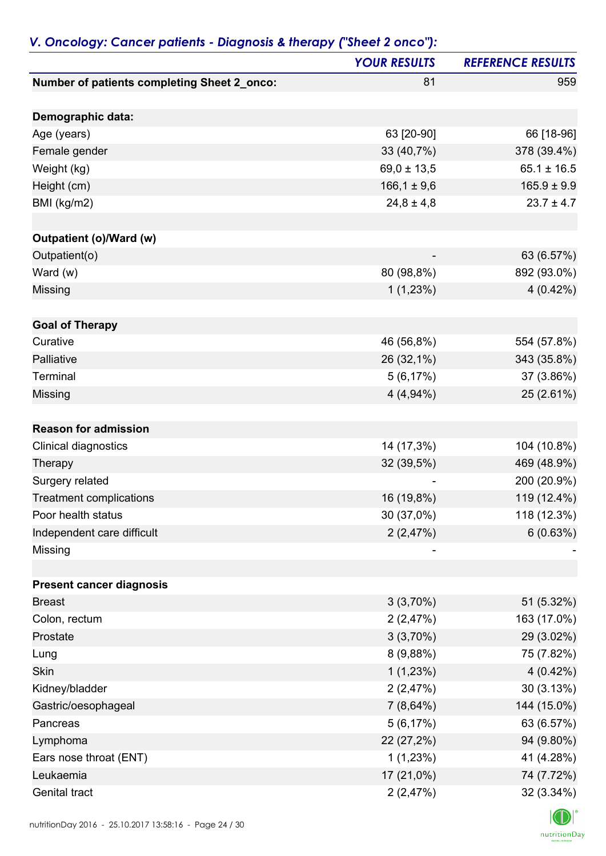|                                             | <b>YOUR RESULTS</b> | <b>REFERENCE RESULTS</b> |
|---------------------------------------------|---------------------|--------------------------|
| Number of patients completing Sheet 2_onco: | 81                  | 959                      |
| Demographic data:                           |                     |                          |
| Age (years)                                 | 63 [20-90]          | 66 [18-96]               |
| Female gender                               | 33 (40,7%)          | 378 (39.4%)              |
| Weight (kg)                                 | $69,0 \pm 13,5$     | $65.1 \pm 16.5$          |
| Height (cm)                                 | $166,1 \pm 9,6$     | $165.9 \pm 9.9$          |
| BMI (kg/m2)                                 | $24,8 \pm 4,8$      | $23.7 \pm 4.7$           |
|                                             |                     |                          |
| Outpatient (o)/Ward (w)                     |                     |                          |
| Outpatient(o)                               |                     | 63 (6.57%)               |
| Ward $(w)$                                  | 80 (98,8%)          | 892 (93.0%)              |
| Missing                                     | 1(1,23%)            | $4(0.42\%)$              |
|                                             |                     |                          |
| <b>Goal of Therapy</b><br>Curative          |                     |                          |
| Palliative                                  | 46 (56,8%)          | 554 (57.8%)              |
| Terminal                                    | 26 (32,1%)          | 343 (35.8%)              |
|                                             | 5(6,17%)            | 37 (3.86%)               |
| Missing                                     | $4(4,94\%)$         | 25 (2.61%)               |
| <b>Reason for admission</b>                 |                     |                          |
| Clinical diagnostics                        | 14 (17,3%)          | 104 (10.8%)              |
| Therapy                                     | 32 (39,5%)          | 469 (48.9%)              |
| Surgery related                             |                     | 200 (20.9%)              |
| <b>Treatment complications</b>              | 16 (19,8%)          | 119 (12.4%)              |
| Poor health status                          | 30 (37,0%)          | 118 (12.3%)              |
| Independent care difficult                  | 2(2,47%)            | 6(0.63%)                 |
| Missing                                     |                     |                          |
|                                             |                     |                          |
| <b>Present cancer diagnosis</b>             |                     |                          |
| <b>Breast</b>                               | 3(3,70%)            | 51 (5.32%)               |
| Colon, rectum                               | 2(2,47%)            | 163 (17.0%)              |
| Prostate                                    | 3(3,70%)            | 29 (3.02%)               |
| Lung                                        | 8(9,88%)            | 75 (7.82%)               |
| <b>Skin</b>                                 | 1(1,23%)            | 4 (0.42%)                |
| Kidney/bladder                              | 2(2,47%)            | 30(3.13%)                |
| Gastric/oesophageal                         | $7(8,64\%)$         | 144 (15.0%)              |
| Pancreas                                    | 5(6,17%)            | 63 (6.57%)               |
| Lymphoma                                    | 22 (27,2%)          | 94 (9.80%)               |
| Ears nose throat (ENT)                      | 1(1,23%)            | 41 (4.28%)               |
| Leukaemia                                   | 17 (21,0%)          | 74 (7.72%)               |
| Genital tract                               | 2(2,47%)            | 32 (3.34%)               |

### *V. Oncology: Cancer patients - Diagnosis & therapy ("Sheet 2 onco"):*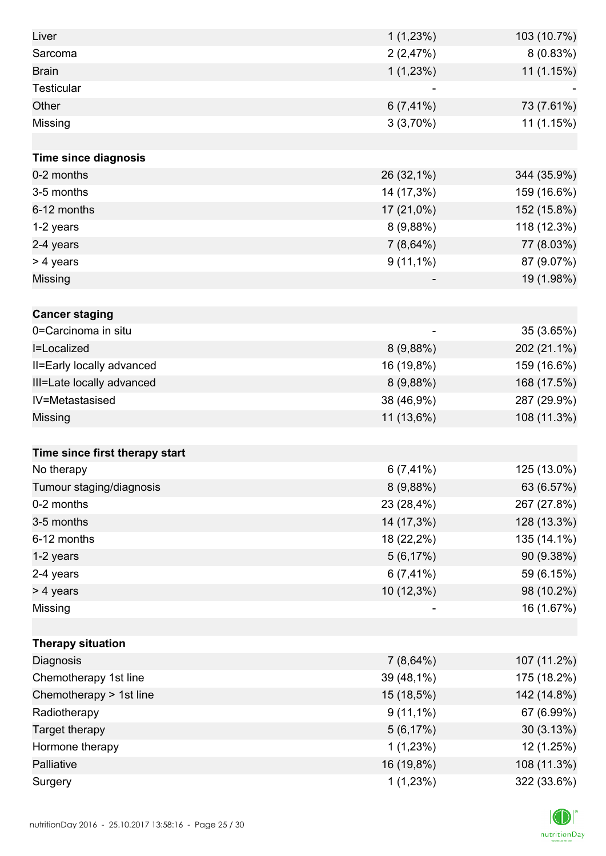| Liver                          | 1(1,23%)     | 103 (10.7%) |
|--------------------------------|--------------|-------------|
| Sarcoma                        | 2(2,47%)     | 8(0.83%)    |
| <b>Brain</b>                   | 1(1,23%)     | 11 (1.15%)  |
| <b>Testicular</b>              |              |             |
| Other                          | $6(7, 41\%)$ | 73 (7.61%)  |
| Missing                        | 3(3,70%)     | 11 (1.15%)  |
|                                |              |             |
| <b>Time since diagnosis</b>    |              |             |
| 0-2 months                     | 26 (32,1%)   | 344 (35.9%) |
| 3-5 months                     | 14 (17,3%)   | 159 (16.6%) |
| 6-12 months                    | 17 (21,0%)   | 152 (15.8%) |
| 1-2 years                      | 8(9,88%)     | 118 (12.3%) |
| 2-4 years                      | 7(8,64%)     | 77 (8.03%)  |
| > 4 years                      | $9(11,1\%)$  | 87 (9.07%)  |
| Missing                        |              | 19 (1.98%)  |
|                                |              |             |
| <b>Cancer staging</b>          |              |             |
| 0=Carcinoma in situ            |              | 35 (3.65%)  |
| I=Localized                    | 8(9,88%)     | 202 (21.1%) |
| II=Early locally advanced      | 16 (19,8%)   | 159 (16.6%) |
| III=Late locally advanced      | 8(9,88%)     | 168 (17.5%) |
| IV=Metastasised                | 38 (46,9%)   | 287 (29.9%) |
| Missing                        | 11 (13,6%)   | 108 (11.3%) |
|                                |              |             |
| Time since first therapy start |              |             |
| No therapy                     | $6(7, 41\%)$ | 125 (13.0%) |
| Tumour staging/diagnosis       | 8(9,88%)     | 63 (6.57%)  |
| 0-2 months                     | 23 (28,4%)   | 267 (27.8%) |
| 3-5 months                     | 14 (17,3%)   | 128 (13.3%) |
| 6-12 months                    | 18 (22,2%)   | 135 (14.1%) |
| 1-2 years                      | 5(6,17%)     | 90 (9.38%)  |
| 2-4 years                      | $6(7, 41\%)$ | 59 (6.15%)  |
| > 4 years                      | 10 (12,3%)   | 98 (10.2%)  |
| Missing                        |              | 16 (1.67%)  |
|                                |              |             |
| <b>Therapy situation</b>       |              |             |
| Diagnosis                      | $7(8,64\%)$  | 107 (11.2%) |
| Chemotherapy 1st line          | 39 (48,1%)   | 175 (18.2%) |
| Chemotherapy > 1st line        | 15 (18,5%)   | 142 (14.8%) |
| Radiotherapy                   | $9(11,1\%)$  | 67 (6.99%)  |
| Target therapy                 | 5(6,17%)     | 30(3.13%)   |
| Hormone therapy                | 1(1,23%)     | 12 (1.25%)  |
| Palliative                     | 16 (19,8%)   | 108 (11.3%) |
| Surgery                        | 1(1,23%)     | 322 (33.6%) |

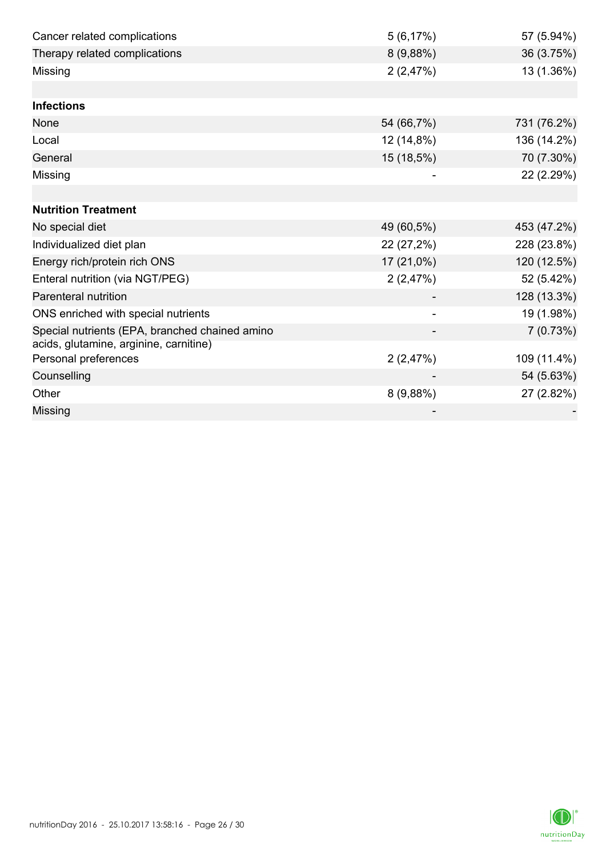| Cancer related complications                                   | 5(6,17%)   | 57 (5.94%)  |
|----------------------------------------------------------------|------------|-------------|
| Therapy related complications                                  | 8(9,88%)   | 36 (3.75%)  |
| Missing                                                        | 2(2,47%)   | 13 (1.36%)  |
|                                                                |            |             |
| <b>Infections</b>                                              |            |             |
| None                                                           | 54 (66,7%) | 731 (76.2%) |
| Local                                                          | 12 (14,8%) | 136 (14.2%) |
| General                                                        | 15 (18,5%) | 70 (7.30%)  |
| Missing                                                        |            | 22 (2.29%)  |
|                                                                |            |             |
| <b>Nutrition Treatment</b>                                     |            |             |
| No special diet                                                | 49 (60,5%) | 453 (47.2%) |
| Individualized diet plan                                       | 22 (27,2%) | 228 (23.8%) |
| Energy rich/protein rich ONS                                   | 17 (21,0%) | 120 (12.5%) |
| Enteral nutrition (via NGT/PEG)                                | 2(2,47%)   | 52 (5.42%)  |
| <b>Parenteral nutrition</b>                                    |            | 128 (13.3%) |
| ONS enriched with special nutrients                            |            | 19 (1.98%)  |
| Special nutrients (EPA, branched chained amino                 |            | 7(0.73%)    |
| acids, glutamine, arginine, carnitine)<br>Personal preferences | 2(2,47%)   | 109 (11.4%) |
| Counselling                                                    |            | 54 (5.63%)  |
| Other                                                          | 8(9,88%)   | 27 (2.82%)  |
| Missing                                                        |            |             |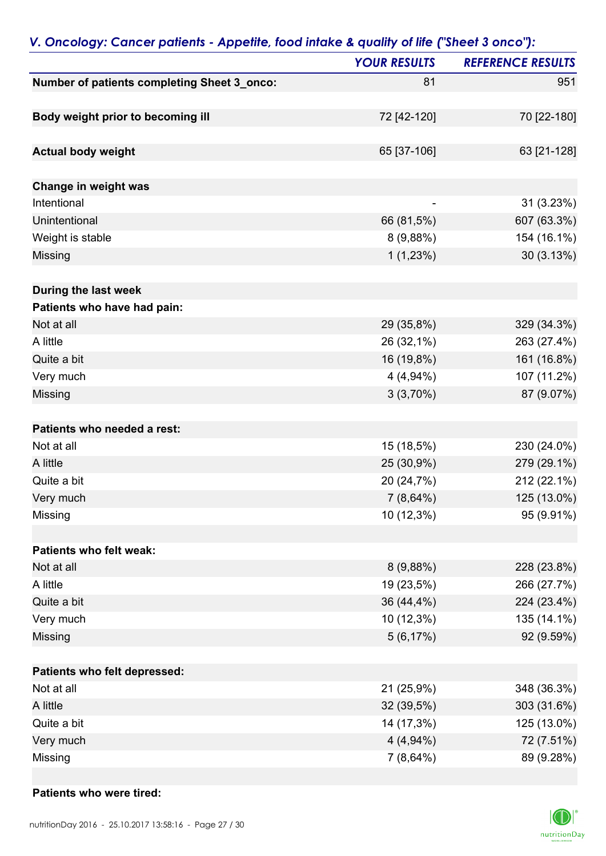|                                             | <b>YOUR RESULTS</b>      | <b>REFERENCE RESULTS</b> |
|---------------------------------------------|--------------------------|--------------------------|
| Number of patients completing Sheet 3_onco: | 81                       | 951                      |
| Body weight prior to becoming ill           | 72 [42-120]              | 70 [22-180]              |
|                                             |                          |                          |
| <b>Actual body weight</b>                   | 65 [37-106]              | 63 [21-128]              |
| Change in weight was                        |                          |                          |
| Intentional                                 | $\overline{\phantom{0}}$ | 31 (3.23%)               |
| Unintentional                               | 66 (81,5%)               | 607 (63.3%)              |
| Weight is stable                            | 8(9,88%)                 | 154 (16.1%)              |
| Missing                                     | 1(1,23%)                 | 30 (3.13%)               |
| During the last week                        |                          |                          |
| Patients who have had pain:                 |                          |                          |
| Not at all                                  | 29 (35,8%)               | 329 (34.3%)              |
| A little                                    | 26 (32,1%)               | 263 (27.4%)              |
| Quite a bit                                 | 16 (19,8%)               | 161 (16.8%)              |
| Very much                                   | $4(4,94\%)$              | 107 (11.2%)              |
| Missing                                     | 3(3,70%)                 | 87 (9.07%)               |
| Patients who needed a rest:                 |                          |                          |
| Not at all                                  | 15 (18,5%)               | 230 (24.0%)              |
| A little                                    | 25 (30,9%)               | 279 (29.1%)              |
| Quite a bit                                 | 20 (24,7%)               | 212 (22.1%)              |
| Very much                                   | $7(8,64\%)$              | 125 (13.0%)              |
| Missing                                     | 10 (12,3%)               | 95 (9.91%)               |
| Patients who felt weak:                     |                          |                          |
| Not at all                                  | 8(9,88%)                 | 228 (23.8%)              |
| A little                                    | 19 (23,5%)               | 266 (27.7%)              |
| Quite a bit                                 | 36 (44,4%)               | 224 (23.4%)              |
| Very much                                   | 10 (12,3%)               | 135 (14.1%)              |
| Missing                                     | 5(6,17%)                 | 92 (9.59%)               |
| Patients who felt depressed:                |                          |                          |
| Not at all                                  | 21 (25,9%)               | 348 (36.3%)              |
| A little                                    | 32 (39,5%)               | 303 (31.6%)              |
| Quite a bit                                 | 14 (17,3%)               | 125 (13.0%)              |
| Very much                                   | $4(4,94\%)$              | 72 (7.51%)               |
| Missing                                     | 7 (8,64%)                | 89 (9.28%)               |

### *V. Oncology: Cancer patients - Appetite, food intake & quality of life ("Sheet 3 onco"):*

#### **Patients who were tired:**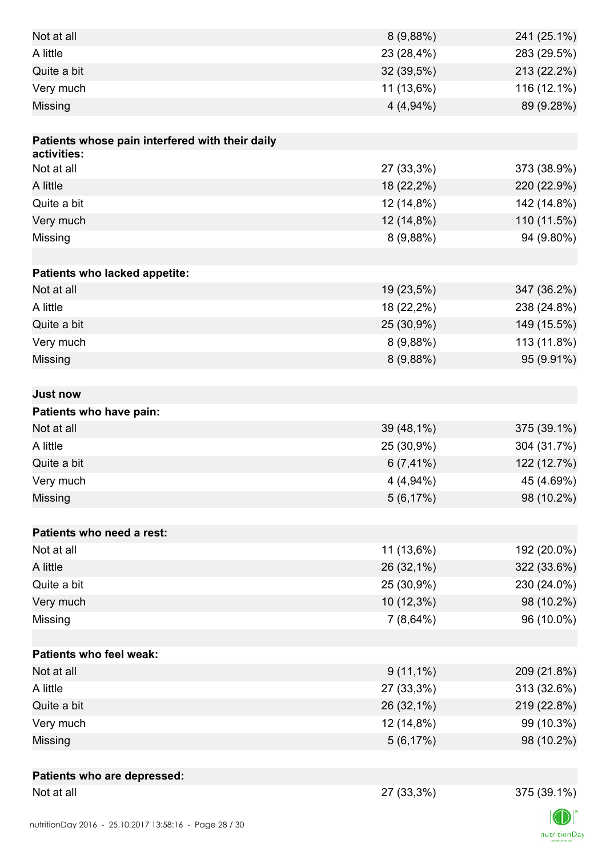| Not at all                                      | 8(9,88%)     | 241 (25.1%) |
|-------------------------------------------------|--------------|-------------|
| A little                                        | 23 (28,4%)   | 283 (29.5%) |
| Quite a bit                                     | 32 (39,5%)   | 213 (22.2%) |
| Very much                                       | 11 (13,6%)   | 116 (12.1%) |
| Missing                                         | $4(4,94\%)$  | 89 (9.28%)  |
|                                                 |              |             |
| Patients whose pain interfered with their daily |              |             |
| activities:                                     |              |             |
| Not at all                                      | 27 (33,3%)   | 373 (38.9%) |
| A little                                        | 18 (22,2%)   | 220 (22.9%) |
| Quite a bit                                     | 12 (14,8%)   | 142 (14.8%) |
| Very much                                       | 12 (14,8%)   | 110 (11.5%) |
| Missing                                         | 8(9,88%)     | 94 (9.80%)  |
|                                                 |              |             |
| Patients who lacked appetite:                   |              |             |
| Not at all                                      | 19 (23,5%)   | 347 (36.2%) |
| A little                                        | 18 (22,2%)   | 238 (24.8%) |
| Quite a bit                                     | 25 (30,9%)   | 149 (15.5%) |
| Very much                                       | 8(9,88%)     | 113 (11.8%) |
| Missing                                         | 8(9,88%)     | 95 (9.91%)  |
|                                                 |              |             |
| <b>Just now</b>                                 |              |             |
| Patients who have pain:                         |              |             |
| Not at all                                      | 39 (48,1%)   | 375 (39.1%) |
| A little                                        | 25 (30,9%)   | 304 (31.7%) |
| Quite a bit                                     | $6(7, 41\%)$ | 122 (12.7%) |
| Very much                                       | $4(4,94\%)$  | 45 (4.69%)  |
| Missing                                         | 5(6,17%)     | 98 (10.2%)  |
|                                                 |              |             |
| Patients who need a rest:                       |              |             |
| Not at all                                      | 11 (13,6%)   | 192 (20.0%) |
| A little                                        | 26 (32,1%)   | 322 (33.6%) |
| Quite a bit                                     | 25 (30,9%)   | 230 (24.0%) |
| Very much                                       | 10 (12,3%)   | 98 (10.2%)  |
| Missing                                         | $7(8,64\%)$  | 96 (10.0%)  |
|                                                 |              |             |
| <b>Patients who feel weak:</b>                  |              |             |
| Not at all                                      | $9(11,1\%)$  | 209 (21.8%) |
| A little                                        | 27 (33,3%)   | 313 (32.6%) |
| Quite a bit                                     | 26 (32,1%)   | 219 (22.8%) |
| Very much                                       | 12 (14,8%)   | 99 (10.3%)  |
| Missing                                         | 5(6,17%)     | 98 (10.2%)  |
|                                                 |              |             |
| Patients who are depressed:                     |              |             |
| Not at all                                      | 27 (33,3%)   | 375 (39.1%) |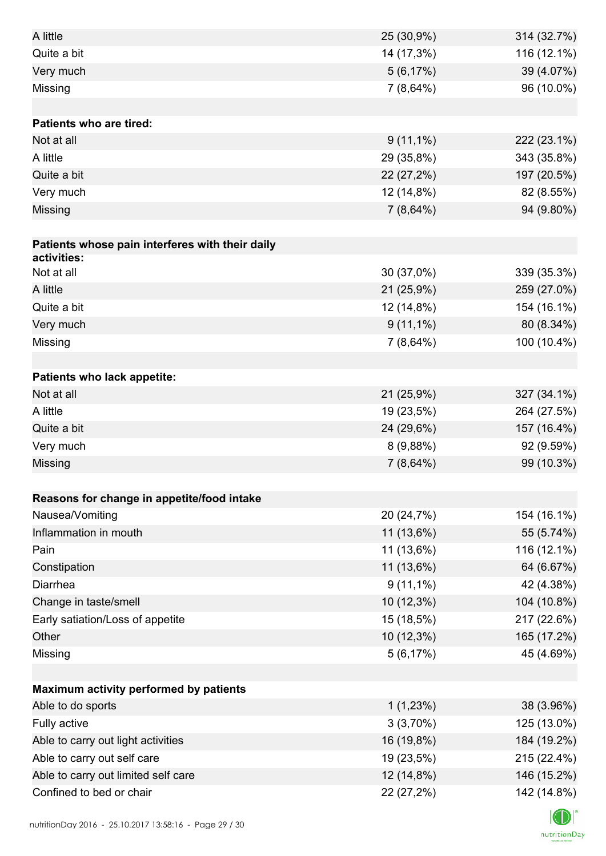| A little                                        | 25 (30,9%)  | 314 (32.7%) |
|-------------------------------------------------|-------------|-------------|
| Quite a bit                                     | 14 (17,3%)  | 116 (12.1%) |
| Very much                                       | 5(6,17%)    | 39 (4.07%)  |
| Missing                                         | 7(8,64%)    | 96 (10.0%)  |
|                                                 |             |             |
| <b>Patients who are tired:</b>                  |             |             |
| Not at all                                      | $9(11,1\%)$ | 222 (23.1%) |
| A little                                        | 29 (35,8%)  | 343 (35.8%) |
| Quite a bit                                     | 22 (27,2%)  | 197 (20.5%) |
| Very much                                       | 12 (14,8%)  | 82 (8.55%)  |
| Missing                                         | $7(8,64\%)$ | 94 (9.80%)  |
|                                                 |             |             |
| Patients whose pain interferes with their daily |             |             |
| activities:                                     |             |             |
| Not at all                                      | 30 (37,0%)  | 339 (35.3%) |
| A little                                        | 21 (25,9%)  | 259 (27.0%) |
| Quite a bit                                     | 12 (14,8%)  | 154 (16.1%) |
| Very much                                       | $9(11,1\%)$ | 80 (8.34%)  |
| Missing                                         | $7(8,64\%)$ | 100 (10.4%) |
|                                                 |             |             |
| Patients who lack appetite:                     |             |             |
| Not at all                                      | 21 (25,9%)  | 327 (34.1%) |
| A little                                        | 19 (23,5%)  | 264 (27.5%) |
| Quite a bit                                     | 24 (29,6%)  | 157 (16.4%) |
| Very much                                       | 8(9,88%)    | 92 (9.59%)  |
| Missing                                         | $7(8,64\%)$ | 99 (10.3%)  |
|                                                 |             |             |
| Reasons for change in appetite/food intake      |             |             |
| Nausea/Vomiting                                 | 20 (24,7%)  | 154 (16.1%) |
| Inflammation in mouth                           | 11 (13,6%)  | 55 (5.74%)  |
| Pain                                            | 11 (13,6%)  | 116 (12.1%) |
| Constipation                                    | 11 (13,6%)  | 64 (6.67%)  |
| Diarrhea                                        | $9(11,1\%)$ | 42 (4.38%)  |
| Change in taste/smell                           | 10 (12,3%)  | 104 (10.8%) |
| Early satiation/Loss of appetite                | 15 (18,5%)  | 217 (22.6%) |
| Other                                           | 10 (12,3%)  | 165 (17.2%) |
| Missing                                         | 5(6,17%)    | 45 (4.69%)  |
|                                                 |             |             |
| Maximum activity performed by patients          |             |             |
| Able to do sports                               | 1(1,23%)    | 38 (3.96%)  |
| Fully active                                    | 3(3,70%)    | 125 (13.0%) |
| Able to carry out light activities              | 16 (19,8%)  | 184 (19.2%) |
| Able to carry out self care                     | 19 (23,5%)  | 215 (22.4%) |
| Able to carry out limited self care             | 12 (14,8%)  | 146 (15.2%) |
| Confined to bed or chair                        | 22 (27,2%)  | 142 (14.8%) |